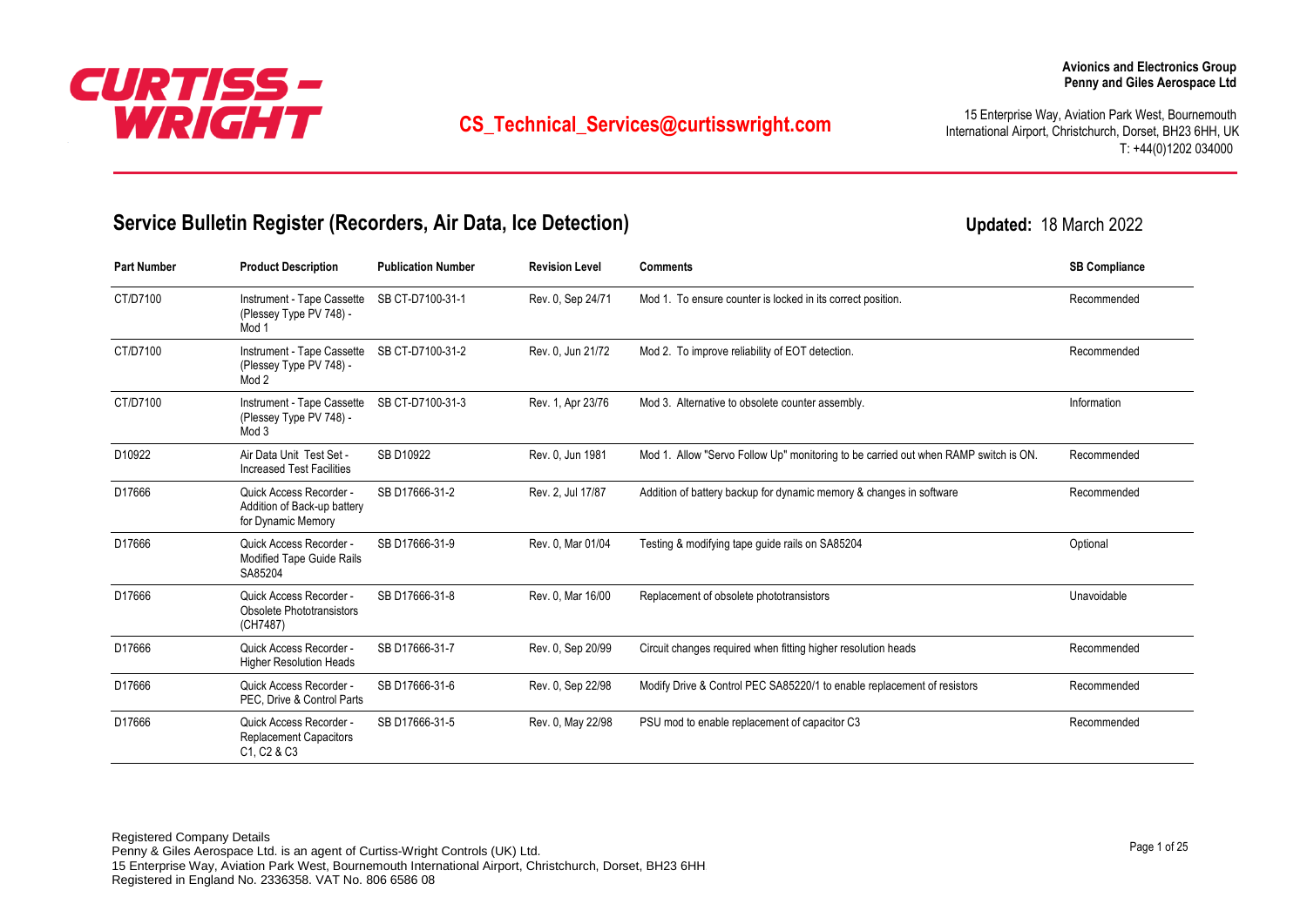

## <sup>15</sup> Enterprise Way, Aviation Park West, Bournemouth **CS**<br>Interprise Way, Aviation Park West, Bournemouth Correct Buy and Like

International Airport, Christchurch, Dorset, BH23 6HH, UK T: +44(0)1202 034000

### **Service Bulletin Register (Recorders, Air Data, Ice Detection)**

**Part Number Product Description Publication Number Revision Level Comments SB Compliance** Instrument - Tape Cassette SB CT-D7100-31-1 Rev. 0, Sep 24/71 (Plessey Type PV 748) - Mod 1 CT/D7100 Modern instrument - Tape Cassette SB CT-D7100-31-1 Rev. 0, Sep 24/71 Mod 1. To ensure counter is locked in its correct position. Instrument - Tape Cassette SB CT-D7100-31-2 Rev. 0, Jun 21/72 (Plessey Type PV 748) - Mod<sub>2</sub> CT/D7100 Modern of the Cassette SB CT-D7100-31-2 Rev. 0, Jun 21/72 Mod 2. To improve reliability of EOT detection. Instrument - Tape Cassette SB CT-D7100-31-3 Rev. 1, Apr 23/76 (Plessey Type PV 748) - Mod 3 CT/D7100 Mostrument - Tape Cassette SB CT-D7100-31-3 Rev. 1, Apr 23/76 Mod 3. Alternative to obsolete counter assembly. Air Data Unit Test Set - SB D10922 Rev. 0, Jun 1981 Increased Test Facilities D10922 Air Data Unit Test Set - SB D10922 Rev. 0, Jun 1981 Mod 1. Allow "Servo Follow Up" monitoring to be carried out when RAMP switch is ON. Recommended Quick Access Recorder - SB D17666-31-2 Rev. 2, Jul 17/87 Addition of Back-up battery for Dynamic Memory D17666 **Access Recorder -** SB D17666-31-2 Rev. 2, Jul 17/87 Addition of battery backup for dynamic memory & changes in software Recommended Quick Access Recorder - SB D17666-31-9 Rev. 0, Mar 01/04 Modified Tape Guide Rails SA85204 D17666 Quick Access Recorder - SB D17666-31-9 Rev. 0, Mar 01/04 Testing & modifying tape guide rails on SA85204 Quick Access Recorder - SB D17666-31-8 Rev. 0, Mar 16/00 Obsolete Phototransistors (CH7487) D17666 Quick Access Recorder - SB D17666-31-8 Rev. 0, Mar 16/00 Replacement of obsolete phototransistors Cunavoidable Quick Access Recorder - SB D17666-31-7 Rev. 0, Sep 20/99 Higher Resolution Heads D17666 Quick Access Recorder - SB D17666-31-7 Rev. 0, Sep 20/99 Circuit changes required when fitting higher resolution heads Recommended Quick Access Recorder - SB D17666-31-6 Rev. 0, Sep 22/98 PEC, Drive & Control Parts D17666 **Canadical Control PEC SA85220/1** to enable replacement of resistors **Recommended** Drive Accommended PEC SA85220/1 to enable replacement of resistors Recommended Quick Access Recorder - SB D17666-31-5 Rev. 0, May 22/98 Replacement Capacitors C1, C2 & C3 D17666 **PSU Mode of the CONCOCO EXAM CONCOCO EXAM CONCOCO EXAM CONCOCO EXAM CONCOCO ENCICIOUS Recommended** D17666-31-5

#### **Updated:** 18 March 2022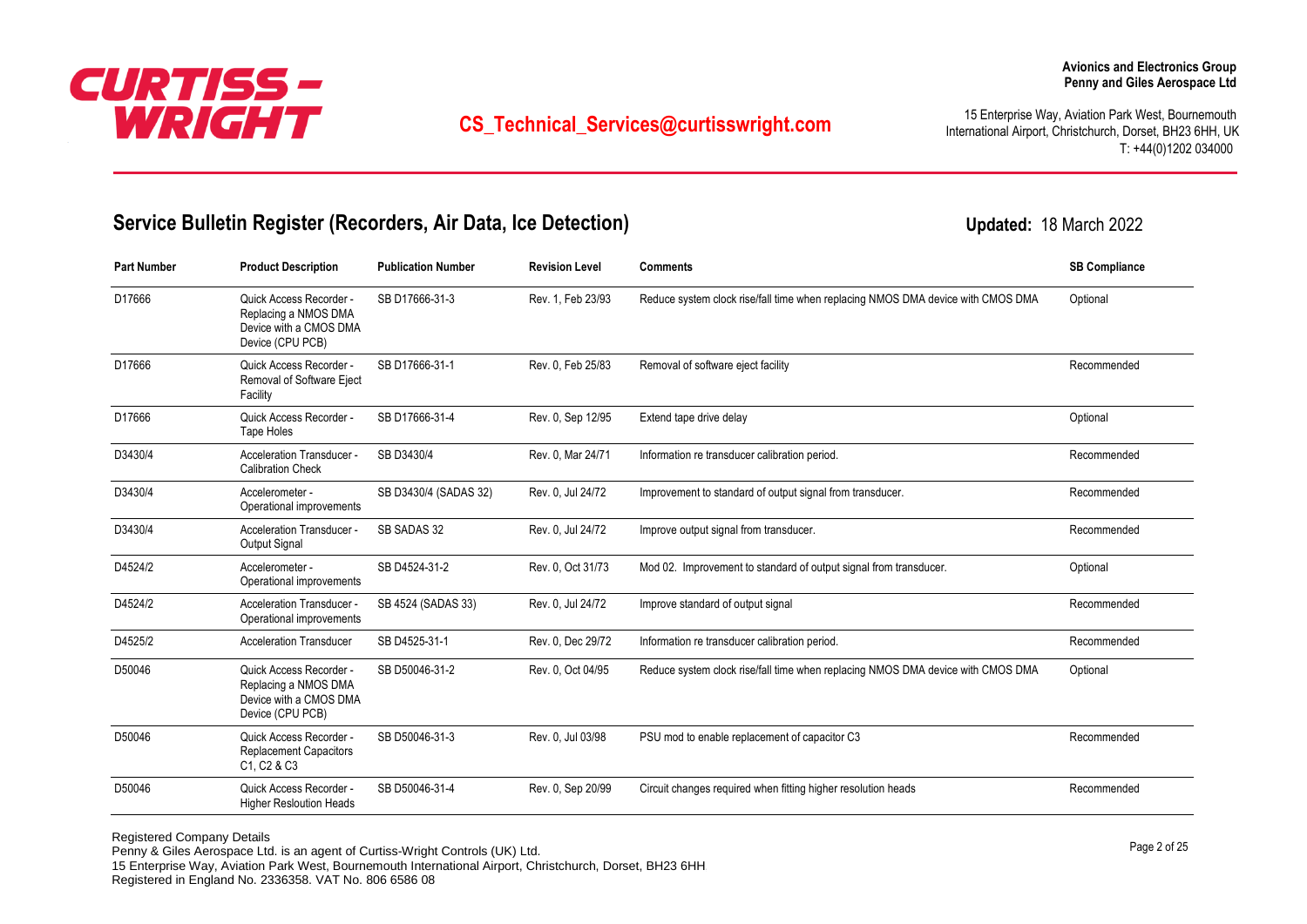

# <sup>15</sup> Enterprise Way, Aviation Park West, Bournemouth **CS**<br> **15 Enterprise Way, Aviation Park West, Bournemouth CS**<br> **16 COS** Technical Services@curtisswright.com

International Airport, Christchurch, Dorset, BH23 6HH, UK T: +44(0)1202 034000

**Updated:** 18 March 2022

## **Service Bulletin Register (Recorders, Air Data, Ice Detection)**

| <b>Part Number</b> | <b>Product Description</b>                                                                                   | <b>Publication Number</b> | <b>Revision Level</b> | <b>Comments</b>                                                                 | <b>SB Compliance</b> |
|--------------------|--------------------------------------------------------------------------------------------------------------|---------------------------|-----------------------|---------------------------------------------------------------------------------|----------------------|
| D17666             | Quick Access Recorder -<br>Replacing a NMOS DMA<br>Device with a CMOS DMA<br>Device (CPU PCB)                | SB D17666-31-3            | Rev. 1, Feb 23/93     | Reduce system clock rise/fall time when replacing NMOS DMA device with CMOS DMA | Optional             |
| D17666             | Quick Access Recorder -<br>Removal of Software Eject<br>Facility                                             | SB D17666-31-1            | Rev. 0. Feb 25/83     | Removal of software eject facility                                              | Recommended          |
| D17666             | Quick Access Recorder -<br>Tape Holes                                                                        | SB D17666-31-4            | Rev. 0, Sep 12/95     | Extend tape drive delay                                                         | Optional             |
| D3430/4            | Acceleration Transducer -<br><b>Calibration Check</b>                                                        | SB D3430/4                | Rev. 0, Mar 24/71     | Information re transducer calibration period.                                   | Recommended          |
| D3430/4            | Accelerometer -<br>Operational improvements                                                                  | SB D3430/4 (SADAS 32)     | Rev. 0, Jul 24/72     | Improvement to standard of output signal from transducer.                       | Recommended          |
| D3430/4            | Acceleration Transducer<br>Output Signal                                                                     | SB SADAS 32               | Rev. 0, Jul 24/72     | Improve output signal from transducer.                                          | Recommended          |
| D4524/2            | Accelerometer -<br>Operational improvements                                                                  | SB D4524-31-2             | Rev. 0, Oct 31/73     | Mod 02. Improvement to standard of output signal from transducer.               | Optional             |
| D4524/2            | Acceleration Transducer -<br>Operational improvements                                                        | SB 4524 (SADAS 33)        | Rev. 0, Jul 24/72     | Improve standard of output signal                                               | Recommended          |
| D4525/2            | <b>Acceleration Transducer</b>                                                                               | SB D4525-31-1             | Rev. 0, Dec 29/72     | Information re transducer calibration period.                                   | Recommended          |
| D50046             | Quick Access Recorder -<br>Replacing a NMOS DMA<br>Device with a CMOS DMA<br>Device (CPU PCB)                | SB D50046-31-2            | Rev. 0, Oct 04/95     | Reduce system clock rise/fall time when replacing NMOS DMA device with CMOS DMA | Optional             |
| D50046             | Quick Access Recorder -<br><b>Replacement Capacitors</b><br>C <sub>1</sub> , C <sub>2</sub> & C <sub>3</sub> | SB D50046-31-3            | Rev. 0, Jul 03/98     | PSU mod to enable replacement of capacitor C3                                   | Recommended          |
| D50046             | Quick Access Recorder -<br><b>Higher Resloution Heads</b>                                                    | SB D50046-31-4            | Rev. 0, Sep 20/99     | Circuit changes required when fitting higher resolution heads                   | Recommended          |

Registered Company Details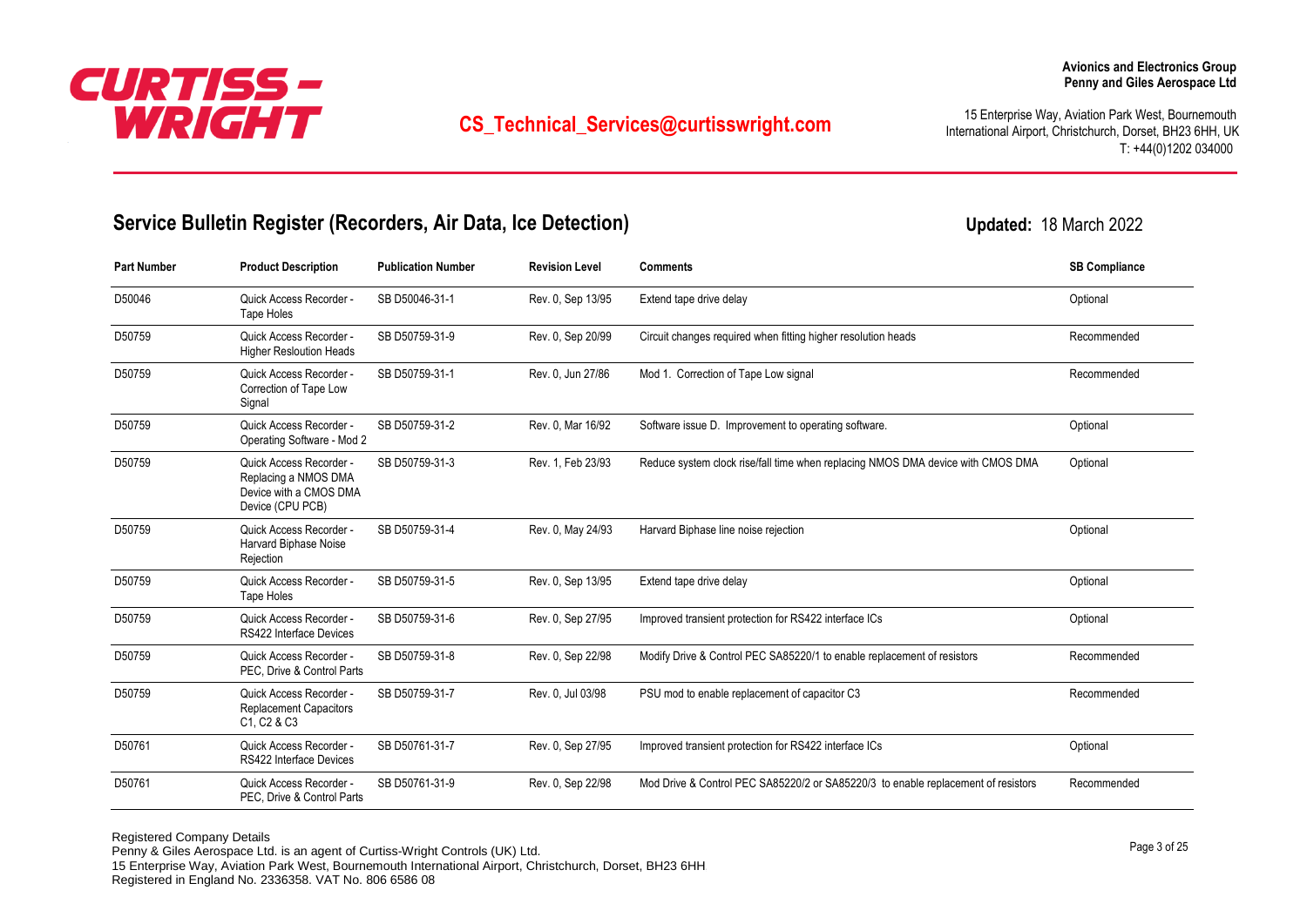

<sup>15</sup> Enterprise Way, Aviation Park West, Bournemouth **CS**<br> **15 Enterprise Way, Aviation Park West, Bournemouth CS**<br> **16 COS** Technical Services@curtisswright.com International Airport, Christchurch, Dorset, BH23 6HH, UK T: +44(0)1202 034000

### **Service Bulletin Register (Recorders, Air Data, Ice Detection)**

**Updated:** 18 March 2022

| <b>Part Number</b> | <b>Product Description</b>                                                                    | <b>Publication Number</b> | <b>Revision Level</b> | <b>Comments</b>                                                                   | <b>SB Compliance</b> |
|--------------------|-----------------------------------------------------------------------------------------------|---------------------------|-----------------------|-----------------------------------------------------------------------------------|----------------------|
| D50046             | Quick Access Recorder -<br><b>Tape Holes</b>                                                  | SB D50046-31-1            | Rev. 0, Sep 13/95     | Extend tape drive delay                                                           | Optional             |
| D50759             | Quick Access Recorder -<br><b>Higher Resloution Heads</b>                                     | SB D50759-31-9            | Rev. 0, Sep 20/99     | Circuit changes required when fitting higher resolution heads                     | Recommended          |
| D50759             | Quick Access Recorder -<br>Correction of Tape Low<br>Signal                                   | SB D50759-31-1            | Rev. 0. Jun 27/86     | Mod 1. Correction of Tape Low signal                                              | Recommended          |
| D50759             | Quick Access Recorder -<br>Operating Software - Mod 2                                         | SB D50759-31-2            | Rev. 0. Mar 16/92     | Software issue D. Improvement to operating software.                              | Optional             |
| D50759             | Quick Access Recorder -<br>Replacing a NMOS DMA<br>Device with a CMOS DMA<br>Device (CPU PCB) | SB D50759-31-3            | Rev. 1. Feb 23/93     | Reduce system clock rise/fall time when replacing NMOS DMA device with CMOS DMA   | Optional             |
| D50759             | Quick Access Recorder -<br>Harvard Biphase Noise<br>Rejection                                 | SB D50759-31-4            | Rev. 0, May 24/93     | Harvard Biphase line noise rejection                                              | Optional             |
| D50759             | Quick Access Recorder -<br><b>Tape Holes</b>                                                  | SB D50759-31-5            | Rev. 0, Sep 13/95     | Extend tape drive delay                                                           | Optional             |
| D50759             | Quick Access Recorder -<br>RS422 Interface Devices                                            | SB D50759-31-6            | Rev. 0, Sep 27/95     | Improved transient protection for RS422 interface ICs                             | Optional             |
| D50759             | Quick Access Recorder -<br>PEC, Drive & Control Parts                                         | SB D50759-31-8            | Rev. 0, Sep 22/98     | Modify Drive & Control PEC SA85220/1 to enable replacement of resistors           | Recommended          |
| D50759             | Quick Access Recorder -<br><b>Replacement Capacitors</b><br>C1, C2 & C3                       | SB D50759-31-7            | Rev. 0, Jul 03/98     | PSU mod to enable replacement of capacitor C3                                     | Recommended          |
| D50761             | Quick Access Recorder -<br>RS422 Interface Devices                                            | SB D50761-31-7            | Rev. 0, Sep 27/95     | Improved transient protection for RS422 interface ICs                             | Optional             |
| D50761             | Quick Access Recorder -<br>PEC, Drive & Control Parts                                         | SB D50761-31-9            | Rev. 0, Sep 22/98     | Mod Drive & Control PEC SA85220/2 or SA85220/3 to enable replacement of resistors | Recommended          |

**Avionics and Electronics Group**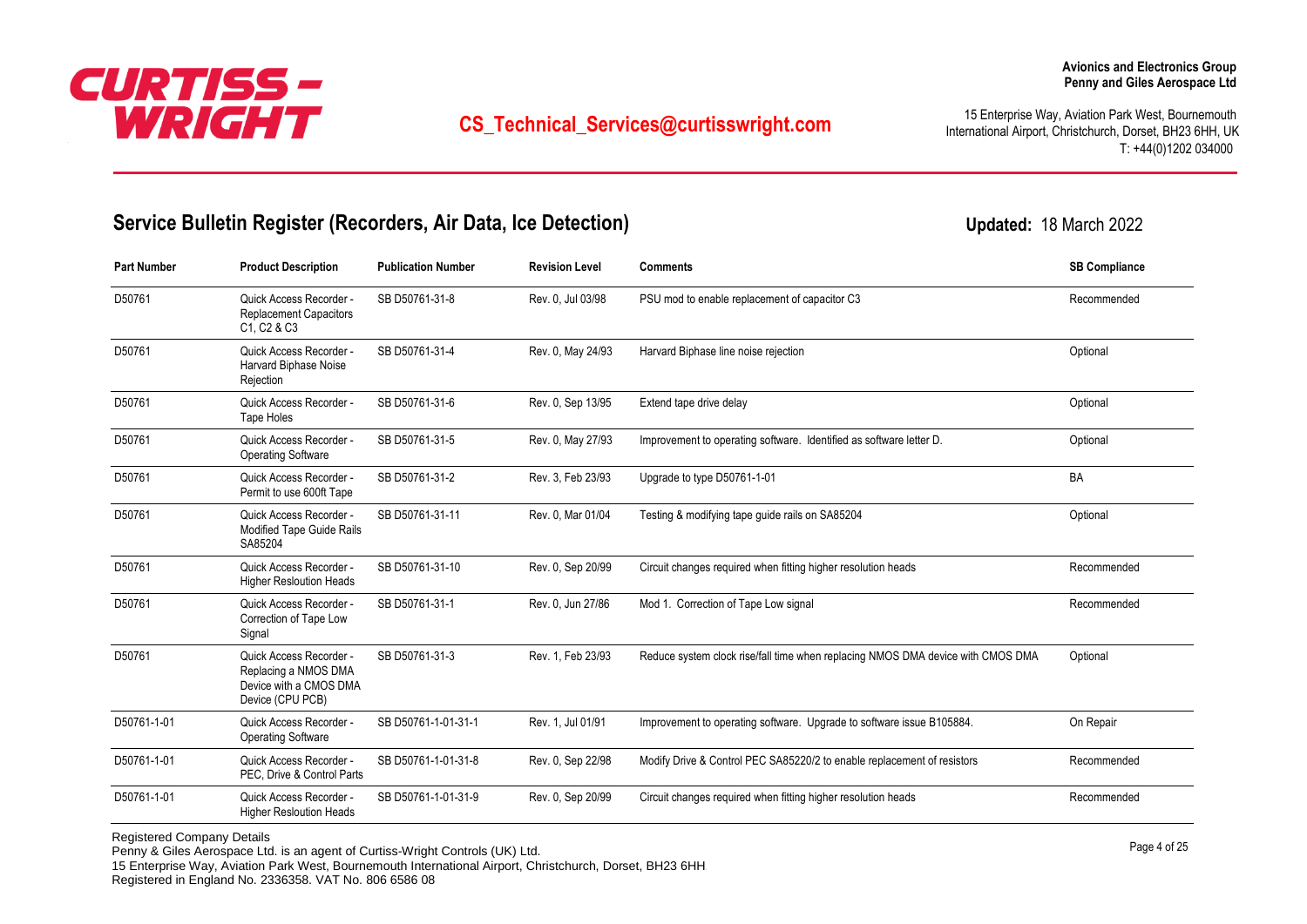

International Airport, Christchurch, Dorset, BH23 6HH, UK T: +44(0)1202 034000

**Updated:** 18 March 2022

### **Service Bulletin Register (Recorders, Air Data, Ice Detection)**

**Part Number Product Description Publication Number Revision Level Comments SB Compliance** Quick Access Recorder - SB D50761-31-8 Rev. 0, Jul 03/98 Replacement Capacitors C1, C2 & C3 D50761 **PSU Mode to Enable 2018** PSU mod to enable replacement of capacitor C3 **PSU mod to enable replacement of capacitor C3** Recommended Quick Access Recorder - SB D50761-31-4 Rev. 0, May 24/93 Harvard Biphase Noise Rejection D50761 **Canada Access Recorder -** SB D50761-31-4 Rev. 0, May 24/93 Harvard Biphase line noise rejection **Depart of Conservant Continues** Optional Quick Access Recorder - SB D50761-31-6 Rev. 0, Sep 13/95 Tape Holes D50761 **Extend tape of the Contract Contract Contract Contract Contract Contract Contract Contract Contract Contract Contract Control Optional Control Control Control Rev. 0, Sep 13/95 Extend tape drive delay contract Cont** Quick Access Recorder - SB D50761-31-5 Rev. 0, May 27/93 Operating Software D50761 **Improvement to operating software.** Identified as software letter D. Coptional Coptional Coptional Coptional Quick Access Recorder - SB D50761-31-2 Rev. 3, Feb 23/93 Permit to use 600ft Tape D50761 **D50761** Quick Access Recorder - SB D50761-31-2 Rev. 3. Feb 23/93 Upgrade to type D50761-1-01 Dearly and the D50761-1-01 Quick Access Recorder - SB D50761-31-11 Rev. 0, Mar 01/04 Modified Tape Guide Rails SA85204 D50761 **D50761** Quick Access Recorder - SB D50761-31-11 Rev. 0, Mar 01/04 Testing & modifying tape guide rails on SA85204 Quick Access Recorder - SB D50761-31-10 Rev. 0, Sep 20/99 Higher Resloution Heads D50761 Cuick Access Recorder - SB D50761-31-10 Rev. 0. Sep 20/99 Circuit changes required when fitting higher resolution heads Recommended Quick Access Recorder - SB D50761-31-1 Rev. 0, Jun 27/86 Correction of Tape Low **Signal** D50761 Cuick Access Recorder - SB D50761-31-1 Rev. 0. Jun 27/86 Mod 1. Correction of Tape Low signal Recordent Recommended Quick Access Recorder - SB D50761-31-3 Rev. 1, Feb 23/93 Replacing a NMOS DMA Device with a CMOS DMA Device (CPU PCB) D50761 D50761 Reduce system clock rise/fall time when replacing NMOS DMA device with CMOS DMA Optional Optional Quick Access Recorder - SB D50761-1-01-31-1 Rev. 1, Jul 01/91 Operating Software D50761-1-01 Quick Access Recorder - SB D50761-1-01-31-1 Rev. 1, Jul 01/91 Improvement to operating software. Upgrade to software issue B105884. On Repair Quick Access Recorder - SB D50761-1-01-31-8 Rev. 0, Sep 22/98 PEC, Drive & Control Parts D50761-1-01 Quick Access Recorder - SB D50761-1-01-31-8 Rev. 0, Sep 22/98 Modify Drive & Control PEC SA85220/2 to enable replacement of resistors Recommended Quick Access Recorder - SB D50761-1-01-31-9 Rev. 0, Sep 20/99 Higher Resloution Heads D50761-1-01 Quick Access Recorder - SB D50761-1-01-31-9 Rev. 0, Sep 20/99 Circuit changes required when fitting higher resolution heads Recommended

Registered Company Details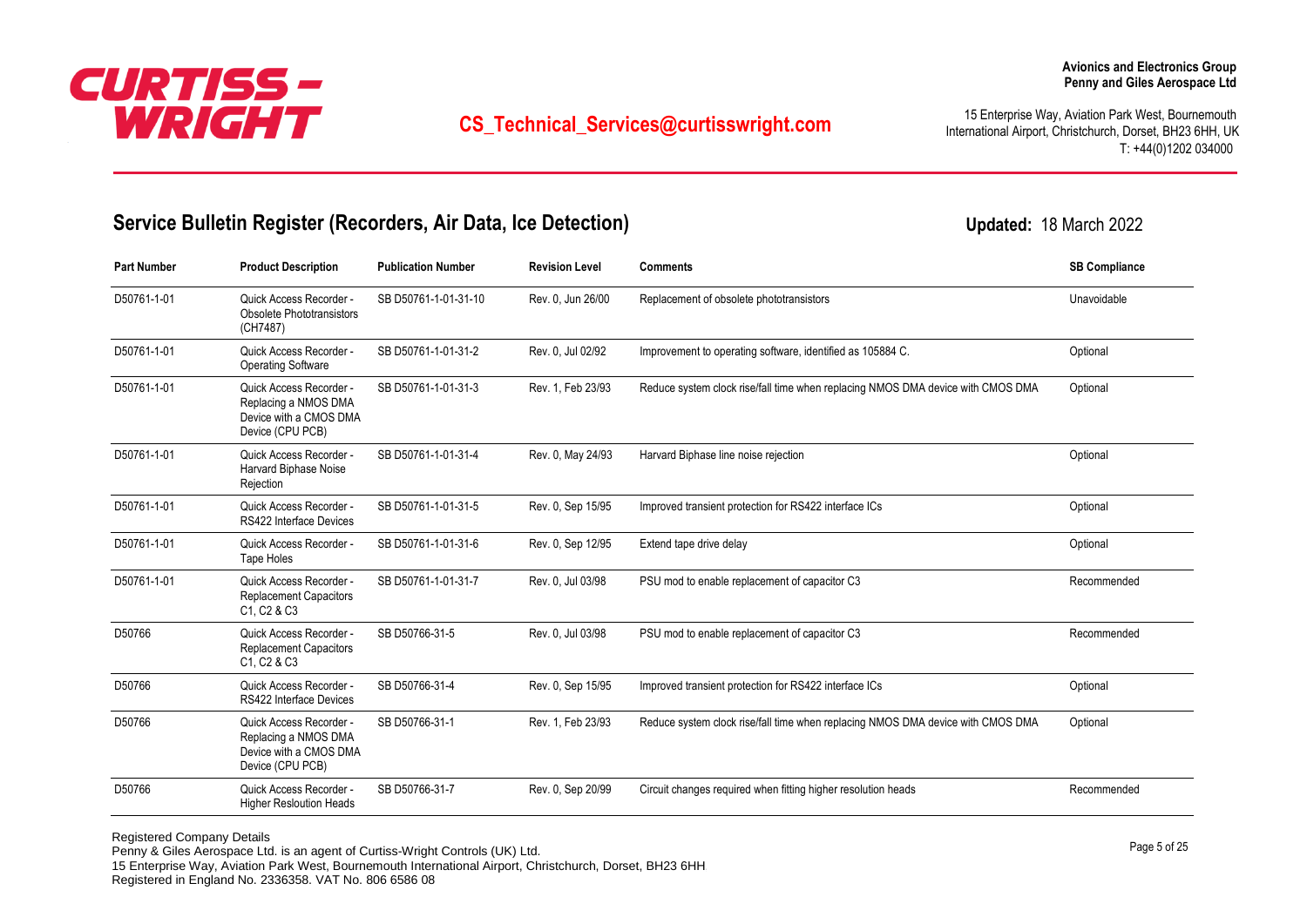

# <sup>15</sup> Enterprise Way, Aviation Park West, Bournemouth **CS**<br> **15 Enterprise Way, Aviation Park West, Bournemouth CS**<br> **16 COS** Technical Services@curtisswright.com

International Airport, Christchurch, Dorset, BH23 6HH, UK T: +44(0)1202 034000

## **Service Bulletin Register (Recorders, Air Data, Ice Detection)**

**Updated:** 18 March 2022

| <b>Part Number</b> | <b>Product Description</b>                                                                    | <b>Publication Number</b> | <b>Revision Level</b> | <b>Comments</b>                                                                 | <b>SB Compliance</b> |
|--------------------|-----------------------------------------------------------------------------------------------|---------------------------|-----------------------|---------------------------------------------------------------------------------|----------------------|
| D50761-1-01        | Quick Access Recorder -<br><b>Obsolete Phototransistors</b><br>(CH7487)                       | SB D50761-1-01-31-10      | Rev. 0, Jun 26/00     | Replacement of obsolete phototransistors                                        | Unavoidable          |
| D50761-1-01        | Quick Access Recorder -<br><b>Operating Software</b>                                          | SB D50761-1-01-31-2       | Rev. 0, Jul 02/92     | Improvement to operating software, identified as 105884 C.                      | Optional             |
| D50761-1-01        | Quick Access Recorder -<br>Replacing a NMOS DMA<br>Device with a CMOS DMA<br>Device (CPU PCB) | SB D50761-1-01-31-3       | Rev. 1, Feb 23/93     | Reduce system clock rise/fall time when replacing NMOS DMA device with CMOS DMA | Optional             |
| D50761-1-01        | Quick Access Recorder -<br>Harvard Biphase Noise<br>Rejection                                 | SB D50761-1-01-31-4       | Rev. 0, May 24/93     | Harvard Biphase line noise rejection                                            | Optional             |
| D50761-1-01        | Quick Access Recorder -<br><b>RS422 Interface Devices</b>                                     | SB D50761-1-01-31-5       | Rev. 0, Sep 15/95     | Improved transient protection for RS422 interface ICs                           | Optional             |
| D50761-1-01        | Quick Access Recorder -<br>Tape Holes                                                         | SB D50761-1-01-31-6       | Rev. 0, Sep 12/95     | Extend tape drive delay                                                         | Optional             |
| D50761-1-01        | Quick Access Recorder -<br><b>Replacement Capacitors</b><br>C1, C2 & C3                       | SB D50761-1-01-31-7       | Rev. 0. Jul 03/98     | PSU mod to enable replacement of capacitor C3                                   | Recommended          |
| D50766             | Quick Access Recorder -<br><b>Replacement Capacitors</b><br>C1, C2 & C3                       | SB D50766-31-5            | Rev. 0, Jul 03/98     | PSU mod to enable replacement of capacitor C3                                   | Recommended          |
| D50766             | Quick Access Recorder -<br><b>RS422 Interface Devices</b>                                     | SB D50766-31-4            | Rev. 0, Sep 15/95     | Improved transient protection for RS422 interface ICs                           | Optional             |
| D50766             | Quick Access Recorder -<br>Replacing a NMOS DMA<br>Device with a CMOS DMA<br>Device (CPU PCB) | SB D50766-31-1            | Rev. 1, Feb 23/93     | Reduce system clock rise/fall time when replacing NMOS DMA device with CMOS DMA | Optional             |
| D50766             | Quick Access Recorder -<br><b>Higher Resloution Heads</b>                                     | SB D50766-31-7            | Rev. 0, Sep 20/99     | Circuit changes required when fitting higher resolution heads                   | Recommended          |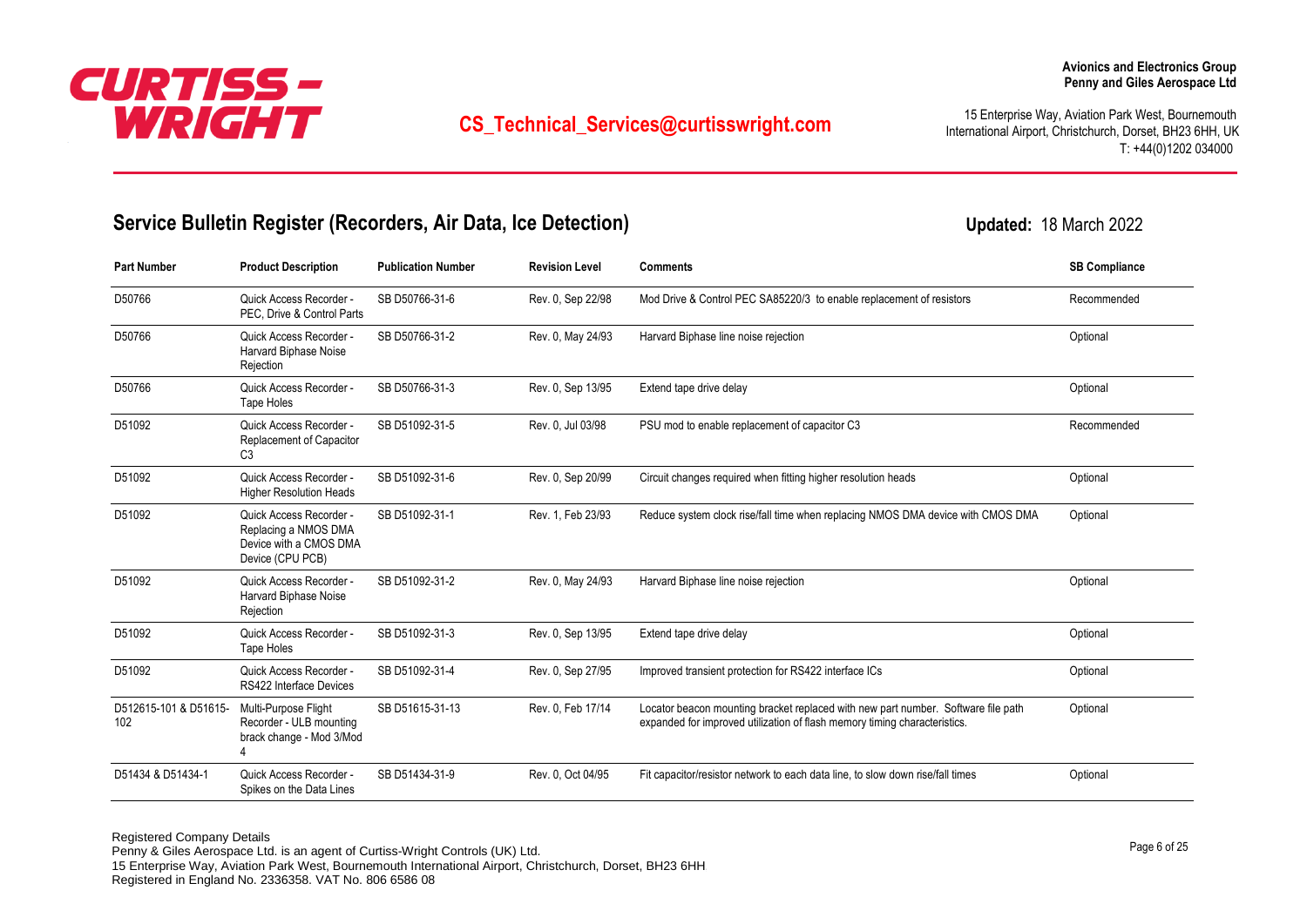

## <sup>15</sup> Enterprise Way, Aviation Park West, Bournemouth **CS**<br>Interprise Way, Aviation Park West, Bournemouth Correct Buy and Like

International Airport, Christchurch, Dorset, BH23 6HH, UK T: +44(0)1202 034000

**Updated:** 18 March 2022

## **Service Bulletin Register (Recorders, Air Data, Ice Detection)**

**Part Number Product Description Publication Number Revision Level Comments SB Compliance** Quick Access Recorder - SB D50766-31-6 Rev. 0, Sep 22/98 PEC, Drive & Control Parts D50766 **Mode Control PEC SA852201** Mod Drive & Control PEC SA85220/3 to enable replacement of resistors Recommended Quick Access Recorder - SB D50766-31-2 Rev. 0, May 24/93 Harvard Biphase Noise Rejection D50766 **Case Concept Concept Concept Concept Concept Concept Concept Concept Concept Concept Concept Concept Concept Concept Concept Concept Concept Concept Concept Concept Concept Concept Concept Concept Concept Concept C** Quick Access Recorder - SB D50766-31-3 Rev. 0, Sep 13/95 Tape Holes D50766 **Capacity Contract Construct Construct** Construct Construct Constructed tape drive delay Detection Construct Construct Construct Construct Construct Construction Optional Construct Construction Construction Construc Quick Access Recorder - SB D51092-31-5 Rev. 0, Jul 03/98 Replacement of Capacitor C3 D51092 **D51092** Puick Access Recorder - SB D51092-31-5 Rev. 0, Jul 03/98 PSU mod to enable replacement of capacitor C3 Recommended Quick Access Recorder - SB D51092-31-6 Rev. 0, Sep 20/99 Higher Resolution Heads D51092 Cuick Access Recorder - SB D51092-31-6 Rev. 0. Sep 20/99 Circuit changes required when fitting higher resolution heads Cotional Quick Access Recorder - SB D51092-31-1 Rev. 1, Feb 23/93 Replacing a NMOS DMA Device with a CMOS DMA Device (CPU PCB) D51092 Quick Access Recorder - SB D51092-31-1 Rev. 1, Feb 23/93 Reduce system clock rise/fall time when replacing NMOS DMA device with CMOS DMA Optional Quick Access Recorder - SB D51092-31-2 Rev. 0, May 24/93 Harvard Biphase Noise Rejection D51092 **Cuick Access Recorder -** SB D51092-31-2 Rev. 0, May 24/93 Harvard Biphase line noise rejection **Depertual Access Recorder -** SB D51092-31-2 Quick Access Recorder - SB D51092-31-3 Rev. 0, Sep 13/95 Tape Holes D51092 **Extend tape of the Convert of Convert Convert Convert Convertery Convertery Convertery Convertery Convertery Convertery Convertery Convertery Convertery Convertery Convertery Convertery Convertery Convertery Conver** Quick Access Recorder - SB D51092-31-4 Rev. 0, Sep 27/95 RS422 Interface Devices D51092 **Improved transient protection for RS422** interface ICs Cuick Access Recorder - SB D51092-31-4 Rev. 0, Sep 27/95 Improved transient protection for RS422 interface ICs Cuick Access Recorder - SB D51092-31-4 Multi-Purpose Flight SB D51615-31-13 Rev. 0, Feb 17/14 Recorder - ULB mounting brack change - Mod 3/Mod 4 D512615-101 & D51615- 102 Locator beacon mounting bracket replaced with new part number. Software file path expanded for improved utilization of flash memory timing characteristics. **Optional** Quick Access Recorder - SB D51434-31-9 Rev. 0, Oct 04/95 Spikes on the Data Lines D51434 & D51434-1 Quick Access Recorder SB D51434-31-9 Rev. 0. Oct 04/95 Fit capacitor/resistor network to each data line, to slow down rise/fall times Optional

**Avionics and Electronics Group**

Page 6 of 25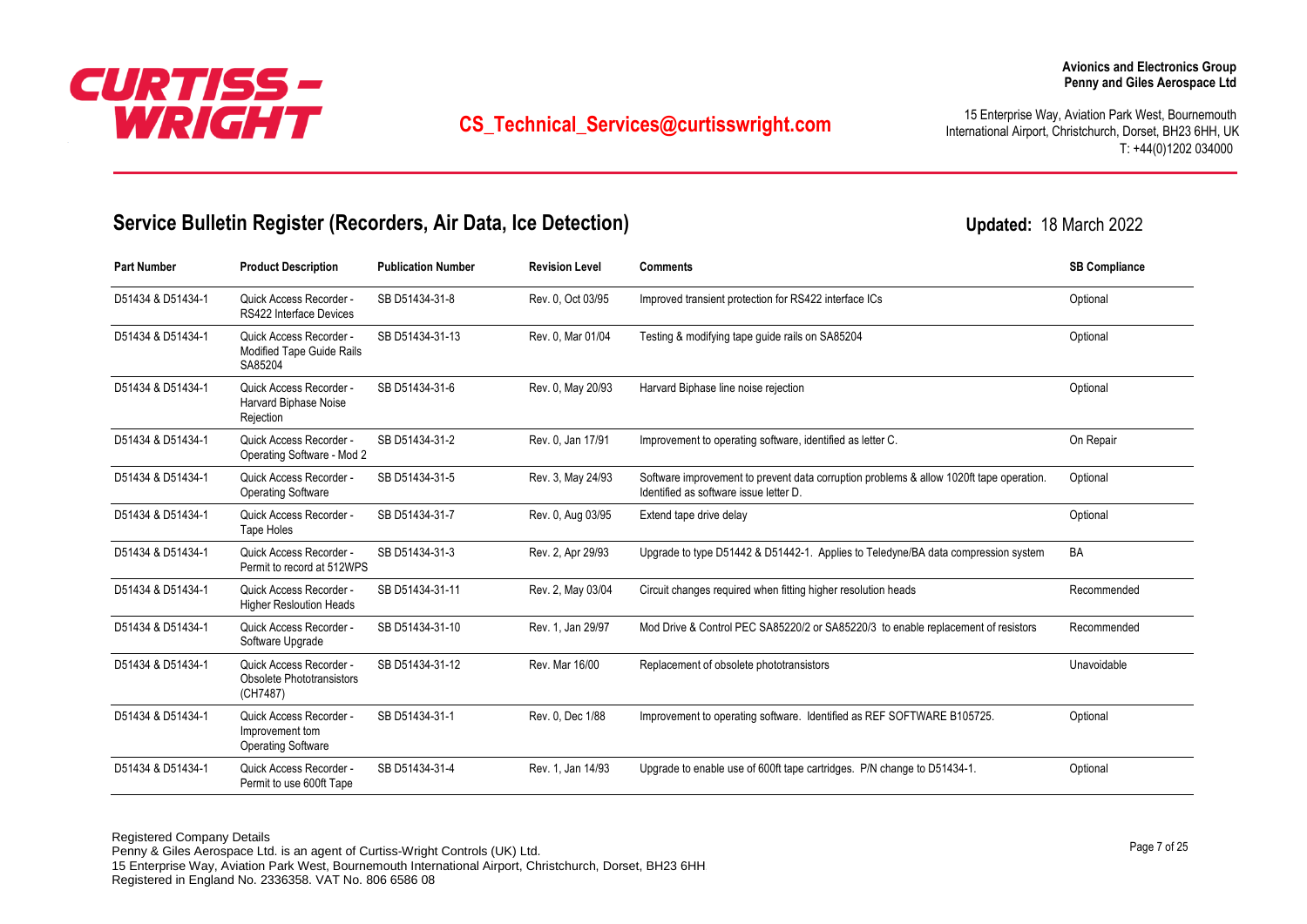

International Airport, Christchurch, Dorset, BH23 6HH, UK T: +44(0)1202 034000

**Updated:** 18 March 2022

## **Service Bulletin Register (Recorders, Air Data, Ice Detection)**

**Part Number Product Description Publication Number Revision Level Comments SB Compliance** Quick Access Recorder - SB D51434-31-8 Rev. 0, Oct 03/95 RS422 Interface Devices D51434 & D51434-1 Quick Access Recorder - SB D51434-31-8 Rev. 0, Oct 03/95 Improved transient protection for RS422 interface ICs Continued transient protection for RS422 interface ICs Optional Quick Access Recorder - SB D51434-31-13 Rev. 0, Mar 01/04 Modified Tape Guide Rails SA85204 D51434 & D51434-1 Quick Access Recorder - SB D51434-31-13 Rev. 0, Mar 01/04 Testing & modifying tape guide rails on SA85204 Contional Quick Access Recorder - SB D51434-31-6 Rev. 0, May 20/93 Harvard Biphase Noise Rejection D51434 & D51434-1 Quick Access Recorder - SB D51434-31-6 Rev. 0, May 20/93 Harvard Biphase line noise rejection Continues and Defional Quick Access Recorder - SB D51434-31-2 Rev. 0, Jan 17/91 Operating Software - Mod 2 D51434 & D51434-1 Quick Access Recorder - SB D51434-31-2 Rev. 0, Jan 17/91 Improvement to operating software, identified as letter C. Quick Access Recorder - SB D51434-31-5 Rev. 3, May 24/93 Operating Software D51434 & D51434-1 Quick Access Recorder - SB D51434-31-5 Rev. 3. May 24/93 Software improvement to prevent data corruption problems & allow 1020ft tape operation. Identified as software issue letter D. **Optional** Quick Access Recorder - SB D51434-31-7 Rev. 0, Aug 03/95 Tape Holes D51434 & D51434-1 Quick Access Recorder - SB D51434-31-7 Rev. 0, Aug 03/95 Extend tape drive delay Christian and Detional Continual Access Recorder - SB D51434-31-7 Rev. 0, Aug 03/95 Extend tape drive delay Quick Access Recorder - SB D51434-31-3 Rev. 2, Apr 29/93 Permit to record at 512WPS D51434 & D51434-1 Quick Access Recorder - SB D51434-31-3 Rev. 2, Apr 29/93 Upgrade to type D51442 & D51442-1. Applies to Teledyne/BA data compression system BA Quick Access Recorder - SB D51434-31-11 Rev. 2, May 03/04 Higher Resloution Heads D51434 & D51434-1 Quick Access Recorder - SB D51434-31-11 Rev. 2, May 03/04 Circuit changes required when fitting higher resolution heads Recommended Quick Access Recorder - SB D51434-31-10 Rev. 1, Jan 29/97 Software Upgrade D51434 & D51434-1 Quick Access Recorder - SB D51434-31-10 Rev. 1, Jan 29/97 Mod Drive & Control PEC SA85220/2 or SA85220/3 to enable replacement of resistors Recommended Quick Access Recorder - SB D51434-31-12 Rev. Mar 16/00 Obsolete Phototransistors (CH7487) D51434 & D51434-1 Quick Access Recorder - SB D51434-31-12 Rev. Mar 16/00 Replacement of obsolete phototransistors Chavoidable Quick Access Recorder - SB D51434-31-1 Rev. 0, Dec 1/88 Improvement tom Operating Software D51434 & D51434-1 Quick Access Recorder - SB D51434-31-1 Rev. 0, Dec 1/88 Improvement to operating software. Identified as REF SOFTWARE B105725. Optional Quick Access Recorder - SB D51434-31-4 Rev. 1, Jan 14/93 Permit to use 600ft Tape D51434 & D51434-1 Quick Access Recorder - SB D51434-31-4 Rev. 1. Jan 14/93 Upgrade to enable use of 600ft tape cartridges. P/N change to D51434-1.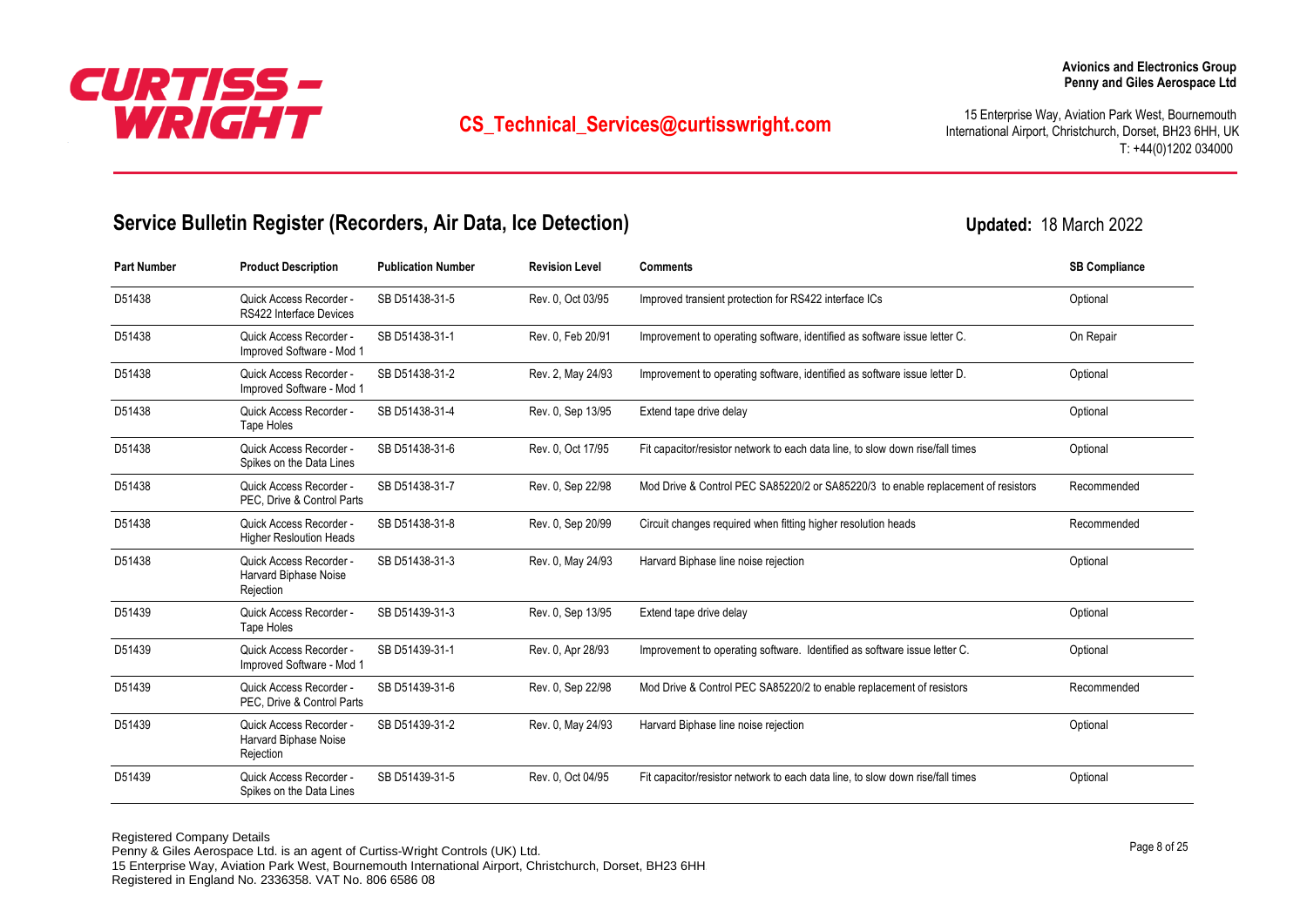

## <sup>15</sup> Enterprise Way, Aviation Park West, Bournemouth **CS**<br>Interprise Way, Aviation Park West, Bournemouth Correct Buy and Like

International Airport, Christchurch, Dorset, BH23 6HH, UK T: +44(0)1202 034000

**Updated:** 18 March 2022

## **Service Bulletin Register (Recorders, Air Data, Ice Detection)**

**Part Number Product Description Publication Number Revision Level Comments SB Compliance** Quick Access Recorder - SB D51438-31-5 Rev. 0, Oct 03/95 RS422 Interface Devices D51438 **Improved transient protection for RS422** interface ICs Cuick Access Recorder - SB D51438-31-5 Rev. 0, Oct 03/95 Improved transient protection for RS422 interface ICs Cuick Access Recorder - SB D51438-31-5 Quick Access Recorder - SB D51438-31-1 Rev. 0, Feb 20/91 Improved Software - Mod 1 D51438 **Improvement to operating software**, identified as software issue letter C. Current Current issue letter C. Current Support Con Repair Quick Access Recorder - SB D51438-31-2 Rev. 2, May 24/93 Improved Software - Mod 1 D51438 **Improvement to operating software, identified as software** issue letter D. Coptional Optional Companies Coptional Companies Coptional Companies Coptional Companies Coptional Companies Coptional Companies Coptional Quick Access Recorder - SB D51438-31-4 Rev. 0, Sep 13/95 Tape Holes D51438 **Extend tape of the Contract Contract Contract Contract Contract Contract Contract Contract Contract Contract Contract Control Optional Control Rev. 0, Sep 13/95 Extend tape drive delay contract Contract Contract Co** Quick Access Recorder - SB D51438-31-6 Rev. 0, Oct 17/95 Spikes on the Data Lines D51438 **Example 20 Fit Capacitor/resistor network to each data line, to slow down rise/fall times** Optional Optional Quick Access Recorder - SB D51438-31-7 Rev. 0, Sep 22/98 PEC, Drive & Control Parts D51438 Cuick Access Recorder - SB D51438-31-7 Rev. 0, Sep 22/98 Mod Drive & Control PEC SA85220/2 or SA85220/3 to enable replacement of resistors Recommended Quick Access Recorder - SB D51438-31-8 Rev. 0, Sep 20/99 Higher Resloution Heads D51438 Cuick Access Recorder - SB D51438-31-8 Rev. 0, Sep 20/99 Circuit changes required when fitting higher resolution heads Recommended Quick Access Recorder - SB D51438-31-3 Rev. 0, May 24/93 Harvard Biphase Noise Rejection D51438 **Cuick Access Recorder -** SB D51438-31-3 Rev. 0, May 24/93 Harvard Biphase line noise rejection **Depart on Conservation** Optional Quick Access Recorder - SB D51439-31-3 Rev. 0, Sep 13/95 Tape Holes D51439 **Extend tape of the Convert of Convert Convert Convert Convert Convert Convert Convert Convert Converter Converter Converter Converter Converter Converter Converter Converter Converter Converter Converter Converter** Quick Access Recorder - SB D51439-31-1 Rev. 0, Apr 28/93 Improved Software - Mod 1 D51439 **Improvement to operating software.** Identified as software issue letter C. Current Current over a software issue letter C. Current Current over a software issue letter C. Current over a software issue letter C. Quick Access Recorder - SB D51439-31-6 Rev. 0, Sep 22/98 PEC, Drive & Control Parts D51439 D51439 Quick Access Recorder - SB D51439-31-6 Rev. 0, Sep 22/98 Mod Drive & Control PEC SA85220/2 to enable replacement of resistors Recommended Quick Access Recorder - SB D51439-31-2 Rev. 0, May 24/93 Harvard Biphase Noise Rejection D51439 **Cuick Access Recorder -** SB D51439-31-2 Rev. 0, May 24/93 Harvard Biphase line noise rejection **Depart on Conservation** Optional Quick Access Recorder - SB D51439-31-5 Rev. 0, Oct 04/95 Spikes on the Data Lines D51439 **Example 20 Fit Capacitor/resistor network to each data line, to slow down rise/fall times** Dotional Dotional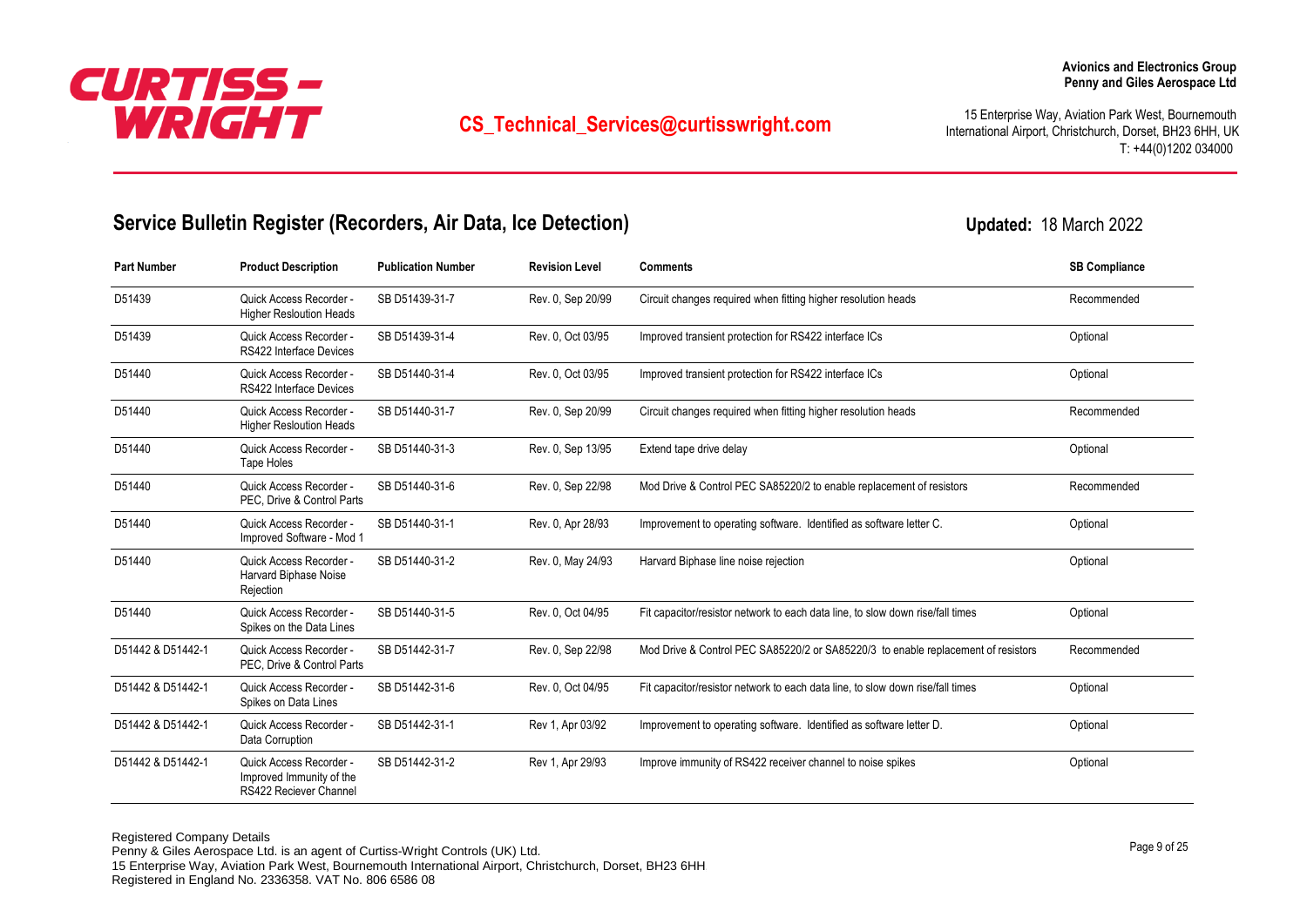

International Airport, Christchurch, Dorset, BH23 6HH, UK T: +44(0)1202 034000

**Updated:** 18 March 2022

## **Service Bulletin Register (Recorders, Air Data, Ice Detection)**

**Part Number Product Description Publication Number Revision Level Comments SB Compliance** Quick Access Recorder - SB D51439-31-7 Rev. 0, Sep 20/99 Higher Resloution Heads D51439 D51439 Quick Access Recorder - SB D51439-31-7 Rev. 0, Sep 20/99 Circuit changes required when fitting higher resolution heads Recommended Quick Access Recorder - SB D51439-31-4 Rev. 0, Oct 03/95 RS422 Interface Devices D51439 **Improved transient protection for RS422** interface ICs Cuick Access Recorder - SB D51439-31-4 Rev. 0, Oct 03/95 Improved transient protection for RS422 interface ICs Cuick Access Recorder - SB D51439-31-4 Quick Access Recorder - SB D51440-31-4 Rev. 0, Oct 03/95 RS422 Interface Devices D51440 **Improved transient protection for RS422** interface ICs Cuick Access Recorder - SB D51440-31-4 Rev. 0, Oct 03/95 Improved transient protection for RS422 interface ICs Cuick Access Recorder - SB D51440-31-4 Quick Access Recorder - SB D51440-31-7 Rev. 0, Sep 20/99 Higher Resloution Heads D51440 D51440 Quick Access Recorder - SB D51440-31-7 Rev. 0, Sep 20/99 Circuit changes required when fitting higher resolution heads Recommended Quick Access Recorder - SB D51440-31-3 Rev. 0, Sep 13/95 Tape Holes D51440 **Extend tape of the Contract Contract Contract Contract Contract Contract Contract Contract Contract Contract Contract Control Optional Control Control Control Rev. 0, Sep 13/95 Extend tape drive delay Contract Cont** Quick Access Recorder - SB D51440-31-6 Rev. 0, Sep 22/98 PEC, Drive & Control Parts D51440 **D51440** Quick Access Recorder - SB D51440-31-6 Rev. 0. Sep 22/98 Mod Drive & Control PEC SA85220/2 to enable replacement of resistors Recommended Quick Access Recorder - SB D51440-31-1 Rev. 0, Apr 28/93 Improved Software - Mod 1 D51440 **Improvement to operating software.** Identified as software letter C. Coptional Coptional Coptional Coptional Quick Access Recorder - SB D51440-31-2 Rev. 0, May 24/93 Harvard Biphase Noise Rejection D51440 **Cuick Access Recorder -** SB D51440-31-2 Rev. 0, May 24/93 Harvard Biphase line noise rejection **Depart of Cuil Access Recorder** - Optional Quick Access Recorder - SB D51440-31-5 Rev. 0, Oct 04/95 Spikes on the Data Lines D51440 **Cuick Access Recorder** SB D51440-31-5 Rev. 0. Oct 04/95 Fit capacitor/resistor network to each data line, to slow down rise/fall times Optional Quick Access Recorder - SB D51442-31-7 Rev. 0, Sep 22/98 PEC, Drive & Control Parts D51442 & D51442-1 Quick Access Recorder - SB D51442-31-7 Rev. 0, Sep 22/98 Mod Drive & Control PEC SA85220/2 or SA85220/3 to enable replacement of resistors Recommended Quick Access Recorder - SB D51442-31-6 Rev. 0, Oct 04/95 Spikes on Data Lines D51442 & D51442-1 Quick Access Recorder - SB D51442-31-6 Rev. 0, Oct 04/95 Fit capacitor/resistor network to each data line, to slow down rise/fall times Optional Quick Access Recorder - SB D51442-31-1 Rev 1, Apr 03/92 Data Corruption D51442 & D51442-1 Quick Access Recorder - SB D51442-31-1 Rev 1, Apr 03/92 Improvement to operating software. Identified as software letter D. Cotional Quick Access Recorder - SB D51442-31-2 Rev 1, Apr 29/93 Improved Immunity of the RS422 Reciever Channel D51442 & D51442-1 Quick Access Recorder - SB D51442-31-2 Rev 1, Apr 29/93 Improve immunity of RS422 receiver channel to noise spikes Optional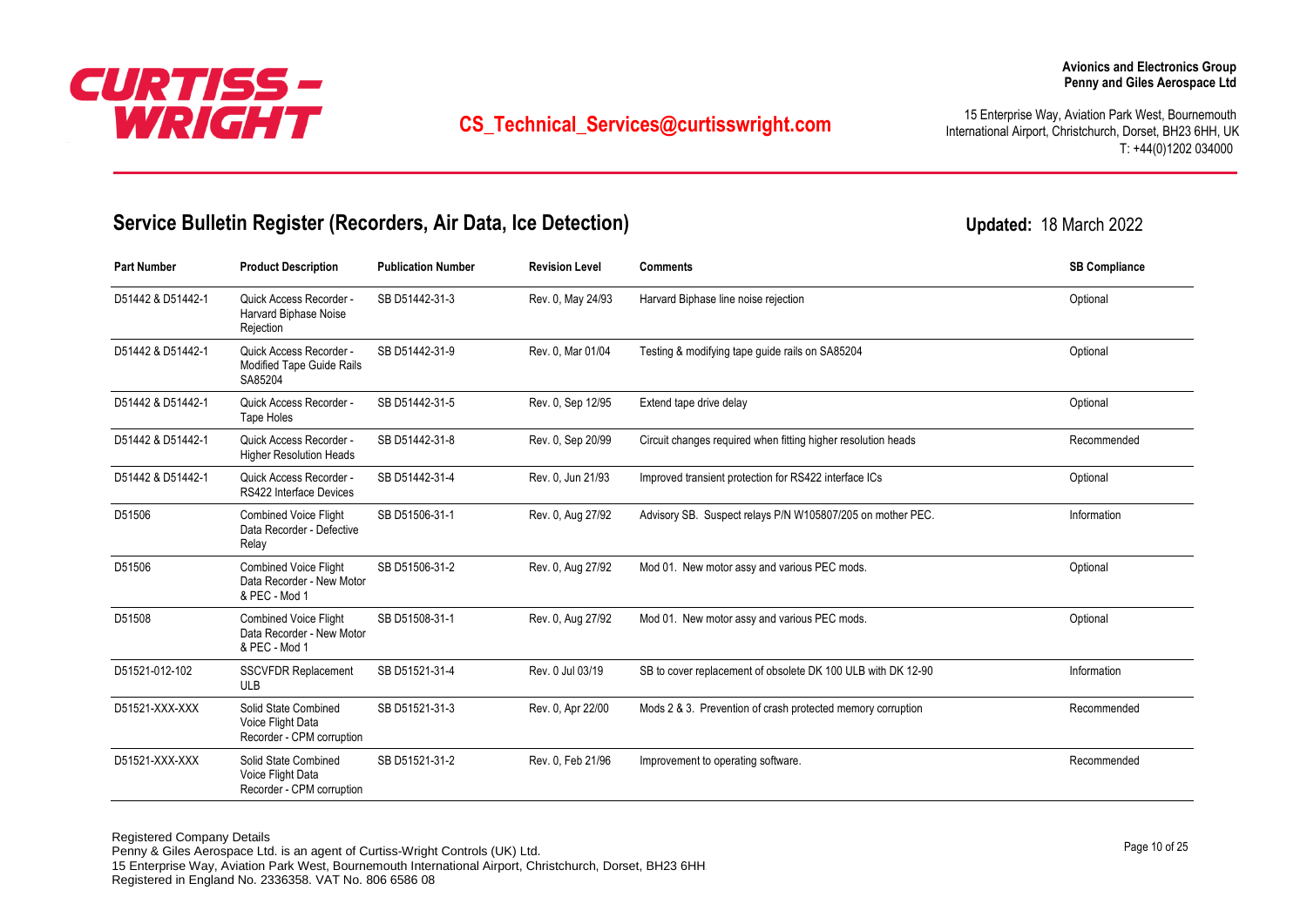

International Airport, Christchurch, Dorset, BH23 6HH, UK T: +44(0)1202 034000

**Updated:** 18 March 2022

### **Service Bulletin Register (Recorders, Air Data, Ice Detection)**

**Part Number Product Description Publication Number Revision Level Comments SB Compliance** Quick Access Recorder - SB D51442-31-3 Rev. 0, May 24/93 Harvard Biphase Noise Rejection D51442 & D51442-1 Quick Access Recorder - SB D51442-31-3 Rev. 0, May 24/93 Harvard Biphase line noise rejection Customan Contional Quick Access Recorder - SB D51442-31-9 Rev. 0, Mar 01/04 Modified Tape Guide Rails SA85204 D51442 & D51442-1 Quick Access Recorder - SB D51442-31-9 Rev. 0, Mar 01/04 Testing & modifying tape guide rails on SA85204 Continuing tape guide rails on SA85204 Quick Access Recorder - SB D51442-31-5 Rev. 0, Sep 12/95 Tape Holes D51442 & D51442-1 Quick Access Recorder - SB D51442-31-5 Rev. 0, Sep 12/95 Extend tape drive delay Channel Assess Recorder - SB D51442-31-5 Quick Access Recorder - SB D51442-31-8 Rev. 0, Sep 20/99 Higher Resolution Heads D51442 & D51442-1 Quick Access Recorder - SB D51442-31-8 Rev. 0, Sep 20/99 Circuit changes required when fitting higher resolution heads Recommended Quick Access Recorder - SB D51442-31-4 Rev. 0, Jun 21/93 RS422 Interface Devices D51442 & D51442-1 Quick Access Recorder - SB D51442-31-4 Rev. 0. Jun 21/93 Improved transient protection for RS422 interface ICs Cotional Combined Voice Flight SB D51506-31-1 Rev. 0, Aug 27/92 Data Recorder - Defective Relay D51506 **Combined Voice Flight** SB D51506-31-1 Rev. 0, Aug 27/92 Advisory SB. Suspect relays P/N W105807/205 on mother PEC. Combined Voice Flight SB D51506-31-2 Rev. 0, Aug 27/92 Data Recorder - New Motor & PEC - Mod 1 D51506 Combined Voice Flight SB D51506-31-2 Rev. 0. Aug 27/92 Mod 01. New motor assy and various PEC mods. Continuel Combined Voice Flight SB D51508-31-1 Rev. 0, Aug 27/92 Data Recorder - New Motor & PEC - Mod 1 D51508 Combined Voice Flight SB D51508-31-1 Rev. 0, Aug 27/92 Mod 01. New motor assy and various PEC mods. Combined Voice Flight SB D51508-31-1 SSCVFDR Replacement SB D51521-31-4 Rev. 0 Jul 03/19 ULB D51521-012-102 SSCVEDR Replacement SB D51521-31-4 Rev 0.Jul 03/19 SR to cover replacement of obsolete DK 100 ULB with DK 12-90 Information Solid State Combined SB D51521-31-3 Rev. 0, Apr 22/00 Voice Flight Data Recorder - CPM corruption D51521-XXX-XXX Solid State Combined SB D51521-31-3 Rev. 0, Apr 22/00 Mods 2 & 3. Prevention of crash protected memory corruption Recommended Solid State Combined SB D51521-31-2 Rev. 0, Feb 21/96 Voice Flight Data Recorder - CPM corruption D51521-XXX-XXX Solid State Combined SB D51521-31-2 Rev. 0, Feb 21/96 Improvement to operating software.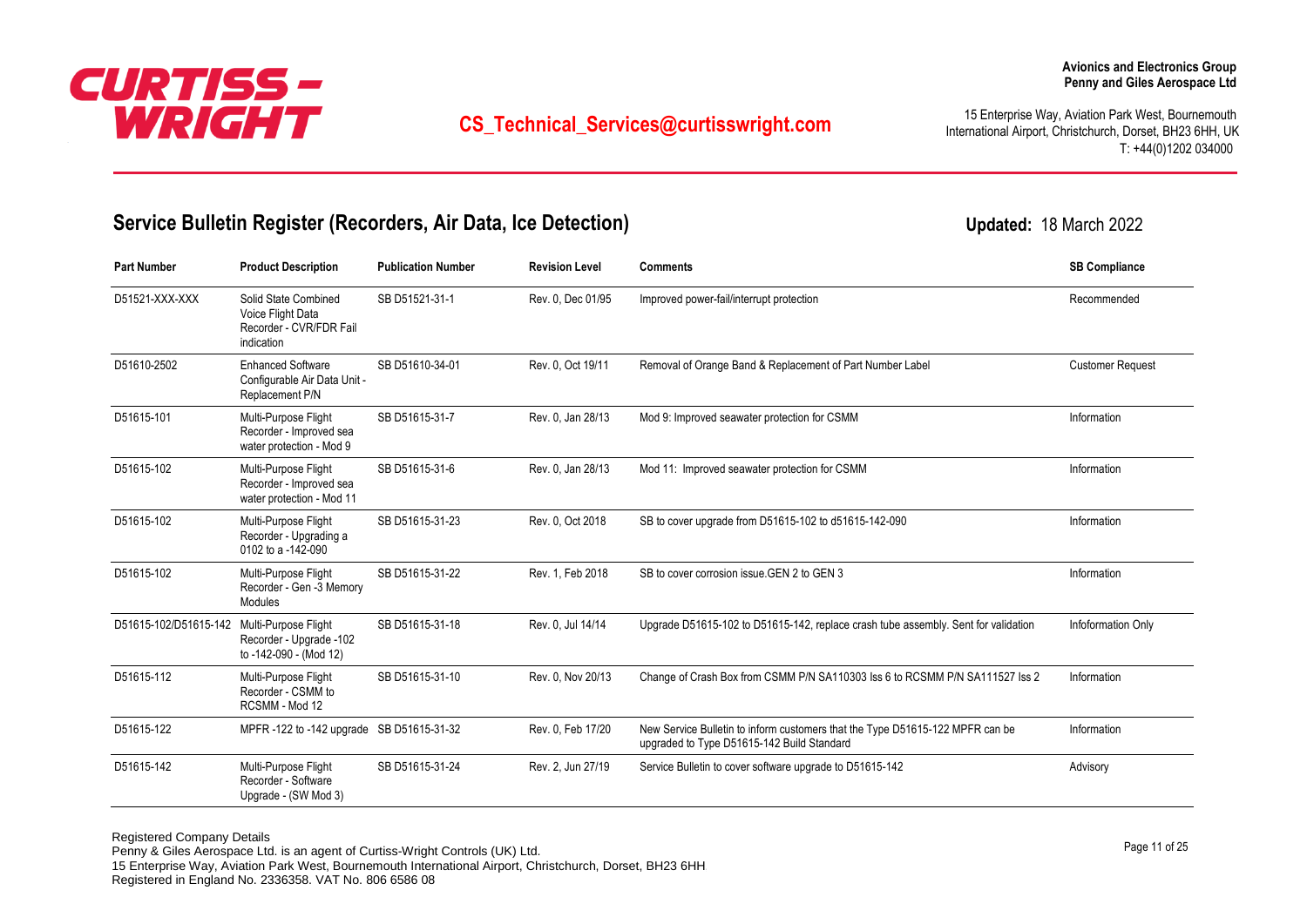

International Airport, Christchurch, Dorset, BH23 6HH, UK T: +44(0)1202 034000

### **Service Bulletin Register (Recorders, Air Data, Ice Detection)**

**Part Number Product Description Publication Number Revision Level Comments SB Compliance** Solid State Combined SB D51521-31-1 Rev. 0, Dec 01/95 Voice Flight Data Recorder - CVR/FDR Fail indication D51521-XXX-XXX Solid State Combined SB D51521-31-1 Rev. 0, Dec 01/95 Improved power-fail/interrupt protection Recommended Enhanced Software SB D51610-34-01 Rev. 0, Oct 19/11 Configurable Air Data Unit - Replacement P/N D51610-2502 Enhanced Software SB D51610-34-01 Rev. 0, Oct 19/11 Removal of Orange Band & Replacement of Part Number Label Customer Request Multi-Purpose Flight SB D51615-31-7 Rev. 0, Jan 28/13 Recorder - Improved sea water protection - Mod 9 D51615-101 Multi-Purpose Flight SB D51615-31-7 Rev. 0. Jan 28/13 Mod 9: Improved seawater protection for CSMM Information Multi-Purpose Flight SB D51615-31-6 Rev. 0, Jan 28/13 Recorder - Improved sea water protection - Mod 11 D51615-102 Multi-Purpose Flight SB D51615-31-6 Rev. 0, Jan 28/13 Mod 11: Improved seawater protection for CSMM Multi-Purpose Flight SB D51615-31-23 Rev. 0, Oct 2018 Recorder - Upgrading a 0102 to a -142-090 D51615-102 Multi-Purpose Flight SB D51615-31-23 Rev. 0, Oct 2018 SB to cover upgrade from D51615-102 to d51615-142-090 Multi-Purpose Flight Multi-Purpose Flight SB D51615-31-22 Rev. 1, Feb 2018 Recorder - Gen -3 Memory Modules D51615-102 Multi-Purpose Flight SB D51615-31-22 Rev 1 Feb 2018 SB to cover corrosion issue GEN 2 to GEN 3 Cover Corrosion issue. GEN 2 to GEN 3 D51615-102/D51615-142 Multi-Purpose Flight SB D51615-31-18 Rev. 0, Jul 14/14 Recorder - Upgrade -102 to -142-090 - (Mod 12) Upgrade D51615-102 to D51615-142, replace crash tube assembly. Sent for validation Infoformation Only Multi-Purpose Flight SB D51615-31-10 Rev. 0, Nov 20/13 Recorder - CSMM to RCSMM - Mod 12 D51615-112 Multi-Purpose Flight SB D51615-31-10 Rev. 0, Nov 20/13 Change of Crash Box from CSMM P/N SA110303 Iss 6 to RCSMM P/N SA111527 Iss 2 Information D51615-122 MPFR-122 to -142 upgrade SB D51615-31-32 Rev. 0, Feb 17/20 New Service Bulletin to inform customers that the Type D51615-122 MPFR can be upgraded to Type D51615-142 Build Standard Information Multi-Purpose Flight SB D51615-31-24 Rev. 2, Jun 27/19 Recorder - Software Upgrade - (SW Mod 3) D51615-142 Multi-Purpose Flight SB D51615-31-24 Rev. 2, Jun 27/19 Service Bulletin to cover software upgrade to D51615-142 Multi-Purpose Flight Service Advisory

**Updated:** 18 March 2022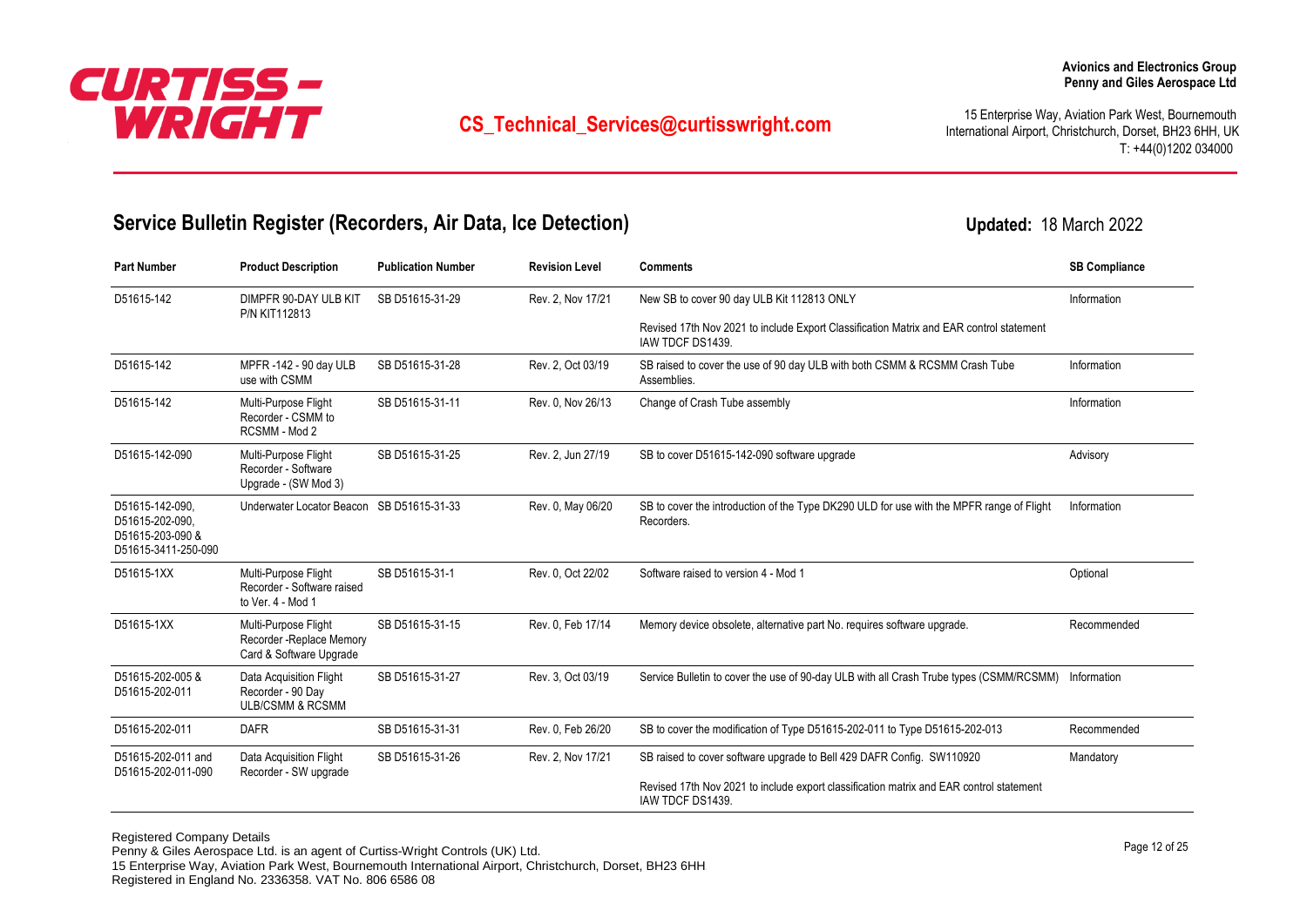

International Airport, Christchurch, Dorset, BH23 6HH, UK T: +44(0)1202 034000

**Updated:** 18 March 2022

### **Service Bulletin Register (Recorders, Air Data, Ice Detection)**

**Part Number Product Description Publication Number Revision Level Comments SB Compliance** DIMPFR 90-DAY ULB KIT SB D51615-31-29 Rev. 2, Nov 17/21 P/N KIT112813 D51615-142 DIMPFR 90-DAY ULB KIT SB D51615-31-29 Rev. 2, Nov 17/21 New SB to cover 90 day ULB Kit 112813 ONLY Revised 17th Nov 2021 to include Export Classification Matrix and EAR control statement IAW TDCF DS1439. Information MPFR -142 - 90 day ULB SB D51615-31-28 Rev. 2, Oct 03/19 use with CSMM D51615-142 MPFR-142-90 day ULB SB D51615-31-28 Rev. 2, Oct 03/19 SB raised to cover the use of 90 day ULB with both CSMM & RCSMM Crash Tube Assemblies. Information Multi-Purpose Flight SB D51615-31-11 Rev. 0, Nov 26/13 Recorder - CSMM to RCSMM - Mod 2 D51615-142 Multi-Purpose Flight SB D51615-31-11 Rev. 0, Nov 26/13 Change of Crash Tube assembly D51615-142 Multi-Purpose Flight SB D51615-31-25 Rev. 2, Jun 27/19 Recorder - Software Upgrade - (SW Mod 3) D51615-142-090 Multi-Purpose Flight SB D51615-31-25 Rev. 2, Jun 27/19 SB to cover D51615-142-090 software upgrade Revisory D51615-142-090, Underwater Locator Beacon SB D51615-31-33 Rev. 0, May 06/20 D51615-202-090, D51615-203-090 & D51615-3411-250-090 SB to cover the introduction of the Type DK290 ULD for use with the MPFR range of Flight Recorders. Information Multi-Purpose Flight SB D51615-31-1 Rev. 0, Oct 22/02 Recorder - Software raised to Ver. 4 - Mod 1 D51615-1XX Multi-Purpose Flight SB D51615-31-1 Rev. 0, Oct 22/02 Software raised to version 4 - Mod 1 Optional Multi-Purpose Flight SB D51615-31-15 Rev. 0, Feb 17/14 Recorder -Replace Memory Card & Software Upgrade D51615-1XX Multi-Purpose Flight SB D51615-31-15 Rev. 0, Feb 17/14 Memory device obsolete, alternative part No. requires software upgrade. Recommended Data Acquisition Flight SB D51615-31-27 Rev. 3, Oct 03/19 Recorder - 90 Day ULB/CSMM & RCSMM D51615-202-005 & D51615-202-011 Service Bulletin to cover the use of 90-day ULB with all Crash Trube types (CSMM/RCSMM) Information D51615-202-011 DAFR SB D51615-31-31 Rev. 0, Feb 26/20 SB to cover the modification of Type D51615-202-011 to Type D51615-202-013 Recommended Data Acquisition Flight SB D51615-31-26 Rev. 2, Nov 17/21 Recorder - SW upgrade D51615-202-011 and D51615-202-011-090 SB raised to cover software upgrade to Bell 429 DAFR Config. SW110920 Revised 17th Nov 2021 to include export classification matrix and EAR control statement IAW TDCF DS1439. Mandatory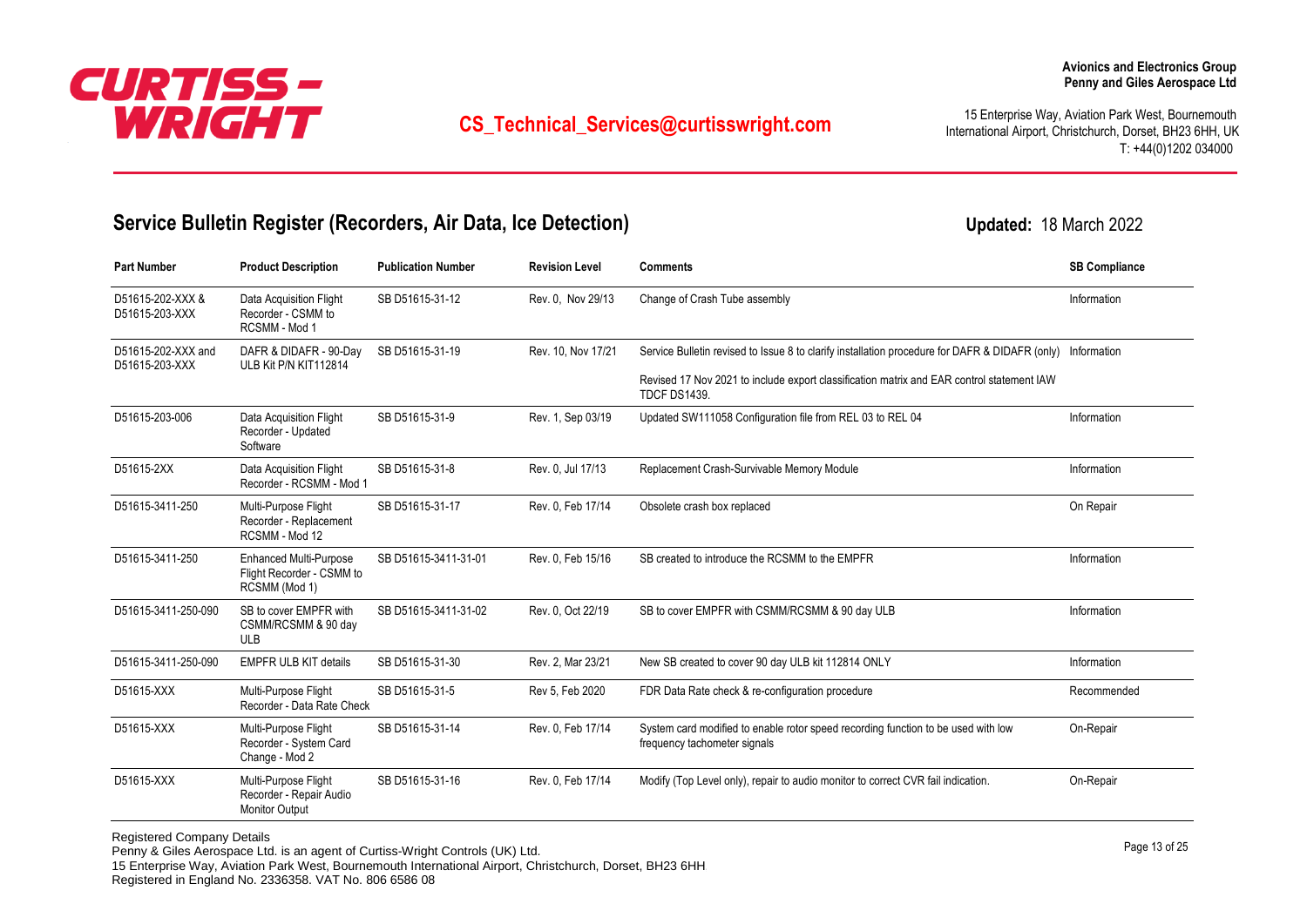

International Airport, Christchurch, Dorset, BH23 6HH, UK T: +44(0)1202 034000

**Updated:** 18 March 2022

## **Service Bulletin Register (Recorders, Air Data, Ice Detection)**

**Part Number Product Description Publication Number Revision Level Comments SB Compliance** Data Acquisition Flight SB D51615-31-12 Rev. 0, Nov 29/13 Recorder - CSMM to RCSMM - Mod 1 D51615-202-XXX & D51615-203-XXX Change of Crash Tube assembly **Information** Information DAFR & DIDAFR - 90-Day SB D51615-31-19 Rev. 10, Nov 17/21 ULB Kit P/N KIT112814 D51615-202-XXX and D51615-203-XXX Service Bulletin revised to Issue 8 to clarify installation procedure for DAFR & DIDAFR (only) Information Revised 17 Nov 2021 to include export classification matrix and EAR control statement IAW TDCF DS1439. Data Acquisition Flight SB D51615-31-9 Rev. 1, Sep 03/19 Recorder - Updated Software D51615-203-006 Data Acquisition Flight SB D51615-31-9 Rev. 1. Sep 03/19 Updated SW111058 Configuration file from REL 03 to REL 04 Information Data Acquisition Flight SB D51615-31-8 Rev. 0, Jul 17/13 Recorder - RCSMM - Mod 1 D51615-2XX Data Acquisition Flight SB D51615-31-8 Rev. 0, Jul 17/13 Replacement Crash-Survivable Memory Module Information Information Multi-Purpose Flight SB D51615-31-17 Rev. 0, Feb 17/14 Recorder - Replacement RCSMM - Mod 12 D51615-3411-250 Multi-Purpose Flight SB D51615-31-17 Rev. 0. Feb 17/14 Obsolete crash box replaced On Nepair Enhanced Multi-Purpose SB D51615-3411-31-01 Rev. 0, Feb 15/16 Flight Recorder - CSMM to RCSMM (Mod 1) D51615-3411-250 Enhanced Multi-Purpose SB D51615-3411-31-01 Rev. 0. Feb 15/16 SB created to introduce the RCSMM to the EMPFR SB to cover EMPFR with SB D51615-3411-31-02 Rev. 0, Oct 22/19 CSMM/RCSMM & 90 day ULB D51615-3411-250-090 SB to cover EMPFR with SB D51615-3411-31-02 Rev. 0, Oct 22/19 SB to cover EMPFR with CSMM/RCSMM & 90 day ULB Information D51615-3411-250-090 EMPFR ULB KIT details SB D51615-31-30 Rev. 2, Mar 23/21 New SB created to cover 90 day ULB kit 112814 ONLY Multi-Purpose Flight SB D51615-31-5 Rev 5, Feb 2020 Recorder - Data Rate Check D51615-XXX Multi-Purpose Flight SB D51615-31-5 Rev 5, Feb 2020 FDR Data Rate check & re-configuration procedure Recommended Multi-Purpose Flight SB D51615-31-14 Rev. 0, Feb 17/14 Recorder - System Card Change - Mod 2 D51615-XXX Multi-Purpose Flight SB D51615-31-14 Rev. 0, Feb 17/14 System card modified to enable rotor speed recording function to be used with low frequency tachometer signals On-Repair Multi-Purpose Flight SB D51615-31-16 Rev. 0, Feb 17/14 Recorder - Repair Audio Monitor Output D51615-XXX Multi-Purpose Flight SB D51615-31-16 Rev. 0, Feb 17/14 Modify (Top Level only), repair to audio monitor to correct CVR fail indication. On-Repair

Registered Company Details

Penny & Giles Aerospace Ltd. is an agent of Curtiss-Wright Controls (UK) Ltd. 15 Enterprise Way, Aviation Park West, Bournemouth International Airport, Christchurch, Dorset, BH23 6HH. Registered in England No. 2336358. VAT No. 806 6586 08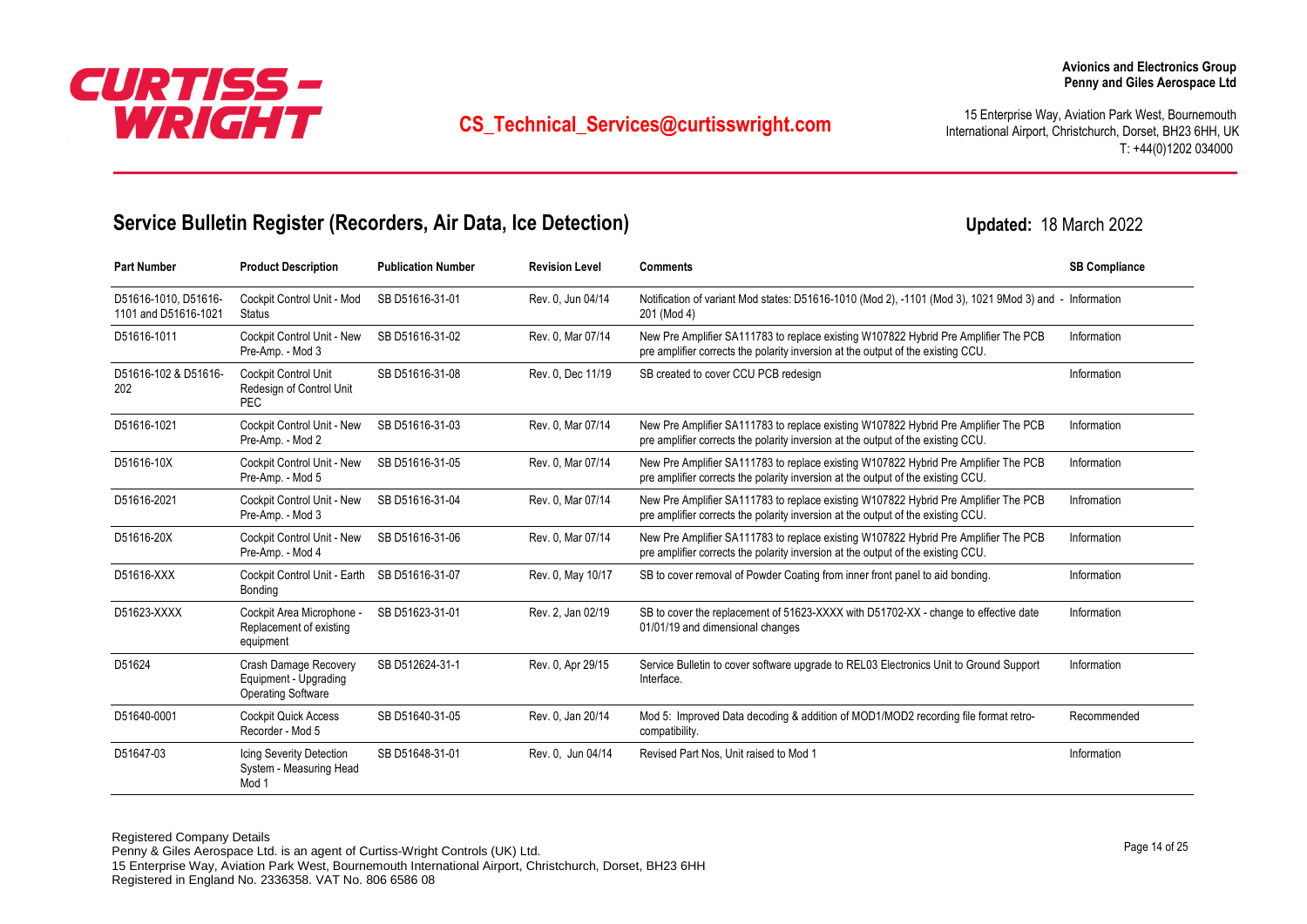

International Airport, Christchurch, Dorset, BH23 6HH, UK T: +44(0)1202 034000

**Updated:** 18 March 2022

### **Service Bulletin Register (Recorders, Air Data, Ice Detection)**

**Part Number Product Description Publication Number Revision Level Comments SB Compliance** Cockpit Control Unit - Mod SB D51616-31-01 Rev. 0, Jun 04/14 **Status** D51616-1010, D51616- 1101 and D51616-1021 Notification of variant Mod states: D51616-1010 (Mod 2), -1101 (Mod 3), 1021 9Mod 3) and - Information 201 (Mod 4) Cockpit Control Unit - New SB D51616-31-02 Rev. 0, Mar 07/14 Pre-Amp. - Mod 3 D51616-1011 Cockpit Control Unit - New SB D51616-31-02 Rev. 0, Mar 07/14 New Pre Amplifier SA111783 to replace existing W107822 Hybrid Pre Amplifier The PCB pre amplifier corrects the polarity inversion at the output of the existing CCU. Information Cockpit Control Unit SB D51616-31-08 Rev. 0, Dec 11/19 Redesign of Control Unit PEC D51616-102 & D51616- 202 SB created to cover CCU PCB redesign Information Information Cockpit Control Unit - New SB D51616-31-03 Rev. 0, Mar 07/14 Pre-Amp. - Mod 2 D51616-1021 Cockpit Control Unit - New SB D51616-31-03 Rev. 0, Mar 07/14 New Pre Amplifier SA111783 to replace existing W107822 Hybrid Pre Amplifier The PCB pre amplifier corrects the polarity inversion at the output of the existing CCU. Information Cockpit Control Unit - New SB D51616-31-05 Rev. 0, Mar 07/14 Pre-Amp. - Mod 5 D51616-10X Cockpit Control Unit - New SB D51616-31-05 Rev. 0, Mar 07/14 New Pre Amplifier SA111783 to replace existing W107822 Hybrid Pre Amplifier The PCB pre amplifier corrects the polarity inversion at the output of the existing CCU. Information Cockpit Control Unit - New SB D51616-31-04 Rev. 0, Mar 07/14 Pre-Amp. - Mod 3 D51616-2021 Cockpit Control Unit - New SB D51616-31-04 Rev. 0, Mar 07/14 New Pre Amplifier SA111783 to replace existing W107822 Hybrid Pre Amplifier The PCB pre amplifier corrects the polarity inversion at the output of the existing CCU. Infromation Cockpit Control Unit - New SB D51616-31-06 Rev. 0, Mar 07/14 Pre-Amp. - Mod 4 D51616-20X Cockoit Control Unit - New SB D51616-31-06 Rev. 0. Mar 07/14 New Pre Amplifier SA111783 to replace existing W107822 Hybrid Pre Amplifier The PCB pre amplifier corrects the polarity inversion at the output of the existing CCU. Information Cockpit Control Unit - Earth SB D51616-31-07 Rev. 0, May 10/17 Bonding D51616-XXX Cockoit Control Unit - Earth SB D51616-31-07 Rev. 0. May 10/17 SB to cover removal of Powder Coating from inner front panel to aid bonding. Information Cockpit Area Microphone - SB D51623-31-01 Rev. 2, Jan 02/19 Replacement of existing equipment D51623-XXXX Cockoit Area Microphone - SB D51623-31-01 Rev. 2. Jan 02/19 SB to cover the replacement of 51623-XXXX with D51702-XX - change to effective date 01/01/19 and dimensional changes Information Crash Damage Recovery SB D512624-31-1 Rev. 0, Apr 29/15 Equipment - Upgrading Operating Software D51624 Crash Damage Recovery SB D512624-31-1 Rev. 0, Apr 29/15 Service Bulletin to cover software upgrade to REL03 Electronics Unit to Ground Support Interface. Information Cockpit Quick Access SB D51640-31-05 Rev. 0, Jan 20/14 Recorder - Mod 5 D51640-0001 Cockpit Quick Access SB D51640-31-05 Rev. 0, Jan 20/14 Mod 5: Improved Data decoding & addition of MOD1/MOD2 recording file format retrocompatibility. Recommended Icing Severity Detection SB D51648-31-01 Rev. 0, Jun 04/14 System - Measuring Head Mod 1 D51647-03 Icing Severity Detection SB D51648-31-01 Rev. 0. Jun 04/14 Revised Part Nos. Unit raised to Mod 1 Information Information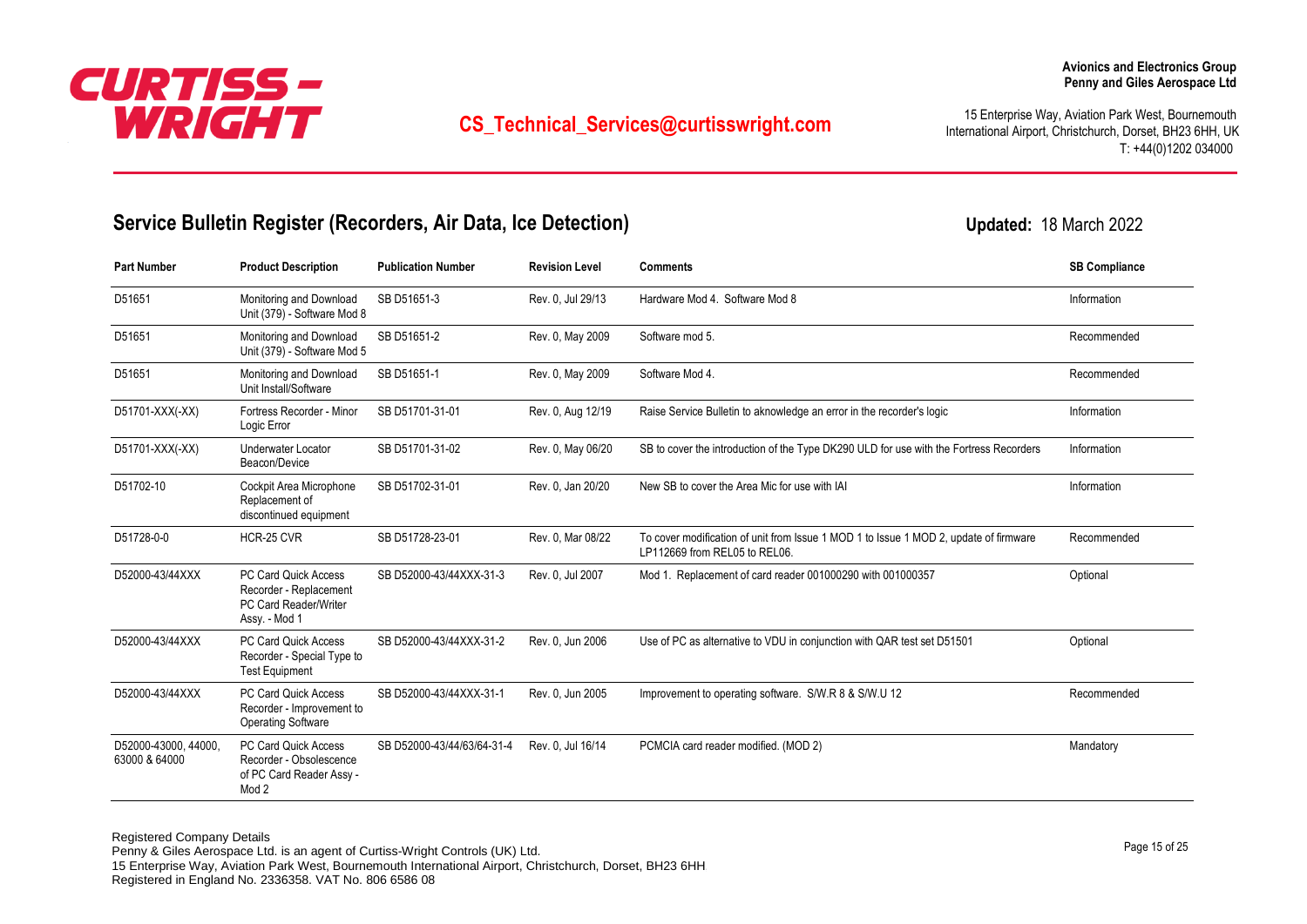

## **CS** Technical Services@curtisswright.com 15 Enterprise Way, Aviation Park West, Bournemouth 2170 Enterprise Way, Aviation Park West, Bournemouth

International Airport, Christchurch, Dorset, BH23 6HH, UK T: +44(0)1202 034000

**Updated:** 18 March 2022

### **Service Bulletin Register (Recorders, Air Data, Ice Detection)**

**Part Number Product Description Publication Number Revision Level Comments SB Compliance** Monitoring and Download SB D51651-3 Rev. 0, Jul 29/13 Unit (379) - Software Mod 8 D51651 Monitoring and Download SR D51651-3 Rev 0 Jul 29/13 Hardware Mod 4 Software Mod 8 Company of the Information D51651 Monitoring and Download SB D51651-2 Rev. 0, May 2009 Software mod 5. Software mod 5. Unit (379) - Software Mod 5 Monitoring and Download SB D51651-1 Rev. 0, May 2009 Unit Install/Software D51651 **Software Monitoring and Download** SB D51651-1 Rev. 0, May 2009 Software Mod 4. Fortress Recorder - Minor SB D51701-31-01 Rev. 0, Aug 12/19 Logic Error D51701-XXX(-XX) Fortress Recorder - Minor SB D51701-31-01 Rev. 0, Aug 12/19 Raise Service Bulletin to aknowledge an error in the recorder's logic Recorder's Information Underwater Locator SB D51701-31-02 Rev. 0, May 06/20 Beacon/Device D51701-XXX(-XX) Underwater Locator SB D51701-31-02 Rev. 0. May 06/20 SB to cover the introduction of the Type DK290 ULD for use with the Fortress Recorders Information Cockpit Area Microphone SB D51702-31-01 Rev. 0, Jan 20/20 Replacement of discontinued equipment D51702-10 Cockpit Area Microphone SB D51702-31-01 Rev. 0. Jan 20/20 New SB to cover the Area Mic for use with IAI D51728-0-0 HCR-25 CVR SB D51728-23-01 Rev. 0, Mar 08/22 To cover modification of unit from Issue 1 MOD 1 to Issue 1 MOD 2, update of firmware LP112669 from REL05 to REL06. Recommended PC Card Quick Access SB D52000-43/44XXX-31-3 Rev. 0, Jul 2007 Recorder - Replacement PC Card Reader/Writer Assy. - Mod 1 D52000-43/44XXX PC Card Quick Access SB D52000-43/44XXX-31-3 Rev. 0. Jul 2007 Mod 1. Replacement of card reader 001000290 with 001000357 Optional PC Card Quick Access SB D52000-43/44XXX-31-2 Rev. 0, Jun 2006 Recorder - Special Type to Test Equipment D52000-43/44XXX PC Card Quick Access SB D52000-43/44XXX-31-2 Rev. 0. Jun 2006 Use of PC as alternative to VDU in conjunction with QAR test set D51501 Optional PC Card Quick Access SB D52000-43/44XXX-31-1 Rev. 0, Jun 2005 Recorder - Improvement to Operating Software D52000-43/44XXX PC Card Quick Access SB D52000-43/44XXX-31-1 Rev. 0, Jun 2005 Improvement to operating software. S/W.R 8 & S/W.U 12 Recommended PC Card Quick Access SB D52000-43/44/63/64-31-4 Rev. 0, Jul 16/14 Recorder - Obsolescence of PC Card Reader Assy - Mod 2 D52000-43000, 44000, 63000 & 64000 PCMCIA card reader modified. (MOD 2) example the state of the model of the Mandatory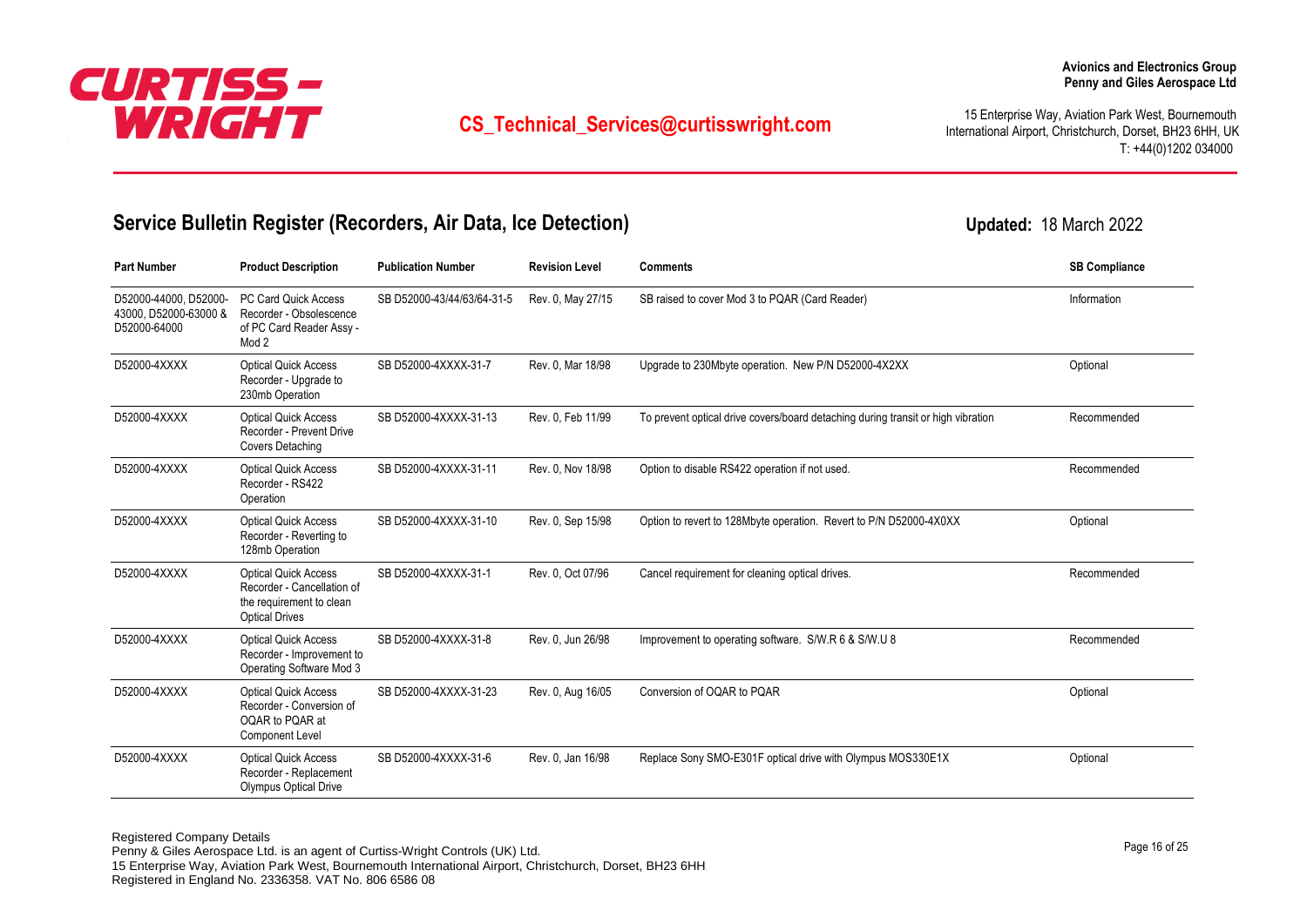

International Airport, Christchurch, Dorset, BH23 6HH, UK T: +44(0)1202 034000

**Updated:** 18 March 2022

## **Service Bulletin Register (Recorders, Air Data, Ice Detection)**

**Part Number Product Description Publication Number Revision Level Comments SB Compliance** PC Card Quick Access SB D52000-43/44/63/64-31-5 Rev. 0, May 27/15 Recorder - Obsolescence of PC Card Reader Assy - Mod 2 D52000-44000, D52000- 43000, D52000-63000 & D52000-64000 SB raised to cover Mod 3 to PQAR (Card Reader) SB raised to cover Mod 3 to PQAR (Card Reader) Optical Quick Access SB D52000-4XXXX-31-7 Rev. 0, Mar 18/98 Recorder - Upgrade to 230mb Operation D52000-4XXXX Optical Quick Access SB D52000-4XXXX-31-7 Rev. 0, Mar 18/98 Upgrade to 230Mbyte operation. New P/N D52000-4X2XX Optional Optical Quick Access SB D52000-4XXXX-31-13 Rev. 0, Feb 11/99 Recorder - Prevent Drive Covers Detaching D52000-4XXXX Optical Quick Access SB D52000-4XXXX-31-13 Rev. 0, Feb 11/99 To prevent optical drive covers/board detaching during transit or high vibration Recommended Optical Quick Access SB D52000-4XXXX-31-11 Rev. 0, Nov 18/98 Recorder - RS422 **Operation** D52000-4XXXX Optical Quick Access SB D52000-4XXXX-31-11 Rev. 0, Nov 18/98 Option to disable RS422 operation if not used. Recommended Optical Quick Access SB D52000-4XXXX-31-10 Rev. 0, Sep 15/98 Recorder - Reverting to 128mb Operation D52000-4XXXX Optical Quick Access SB D52000-4XXXX-31-10 Rev. 0, Sep 15/98 Option to revert to 128Mbyte operation. Revert to P/N D52000-4X0XX Optional Optical Quick Access SB D52000-4XXXX-31-1 Rev. 0, Oct 07/96 Recorder - Cancellation of the requirement to clean Optical Drives D52000-4XXXX Optical Quick Access SB D52000-4XXXX-31-1 Rev. 0, Oct 07/96 Cancel requirement for cleaning optical drives. Optical Quick Access SB D52000-4XXXX-31-8 Rev. 0, Jun 26/98 Recorder - Improvement to Operating Software Mod 3 D52000-4XXXX Optical Quick Access SB D52000-4XXXX-31-8 Rev. 0, Jun 26/98 Improvement to operating software. S/W.R 6 & S/W.U 8 Recommended Optical Quick Access SB D52000-4XXXX-31-23 Rev. 0, Aug 16/05 Recorder - Conversion of OQAR to PQAR at Component Level D52000-4XXXX Optical Quick Access SB D52000-4XXXX-31-23 Rev. 0. Aug 16/05 Conversion of OQAR to POAR Optional Conversion of OQAR Optional Optical Quick Access SB D52000-4XXXX-31-6 Rev. 0, Jan 16/98 Recorder - Replacement Olympus Optical Drive D52000-4XXXX Optical Quick Access SB D52000-4XXXX-31-6 Rev. 0. Jan 16/98 Replace Sony SMO-E301F optical drive with Olympus MOS330E1X Optional

Page 16 of 25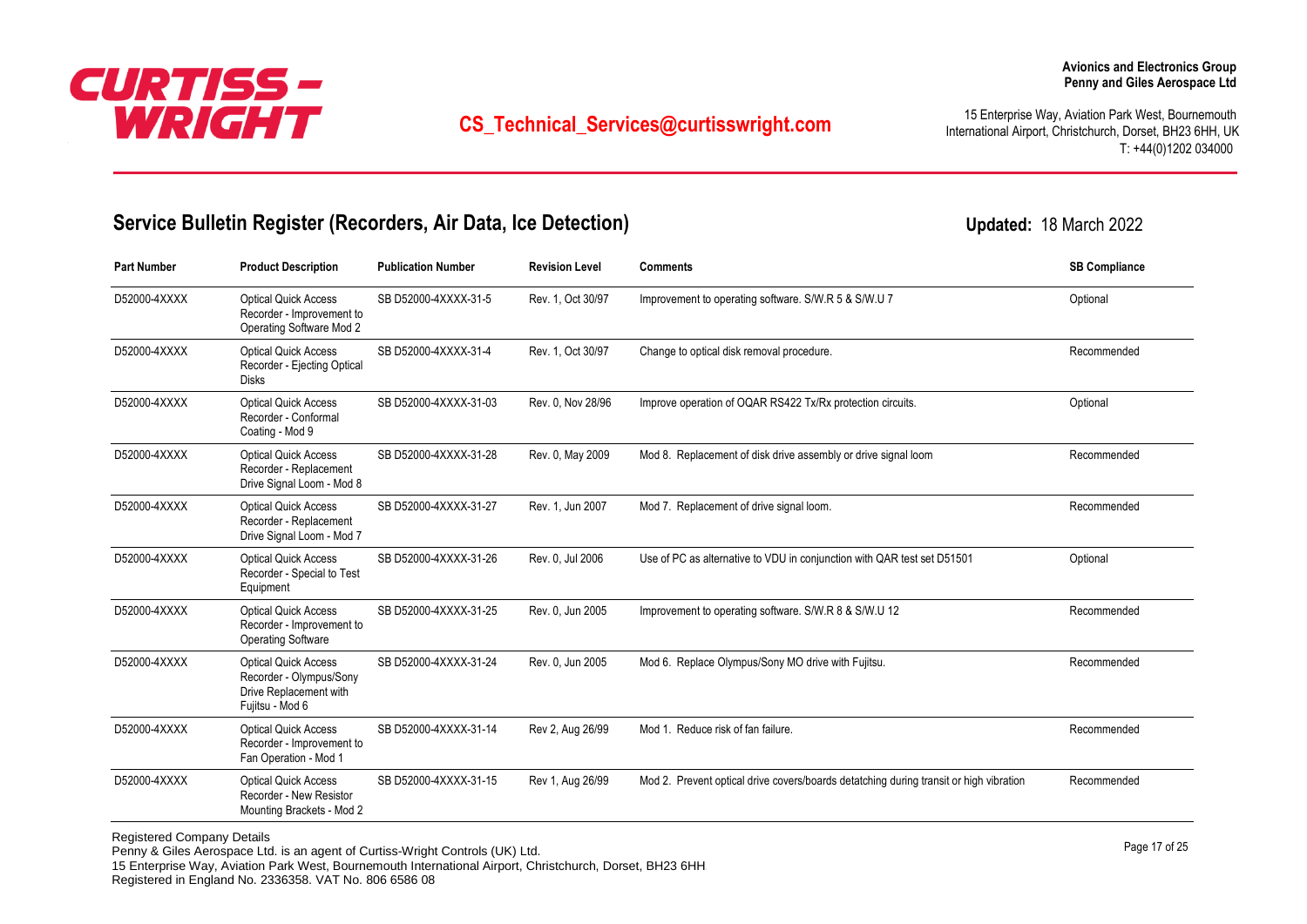

International Airport, Christchurch, Dorset, BH23 6HH, UK T: +44(0)1202 034000

**Updated:** 18 March 2022

## **Service Bulletin Register (Recorders, Air Data, Ice Detection)**

**Part Number Product Description Publication Number Revision Level Comments SB Compliance** Optical Quick Access SB D52000-4XXXX-31-5 Rev. 1, Oct 30/97 Recorder - Improvement to Operating Software Mod 2 D52000-4XXXX Optical Quick Access SB D52000-4XXXX-31-5 Rev. 1, Oct 30/97 Improvement to operating software. S/W.R 5 & S/W.U 7 Contional Optical Quick Access SB D52000-4XXXX-31-4 Rev. 1, Oct 30/97 Recorder - Ejecting Optical Disks D52000-4XXXX Optical Quick Access SB D52000-4XXXX-31-4 Rev. 1, Oct 30/97 Change to optical disk removal procedure. Optical Quick Access SB D52000-4XXXX-31-03 Rev. 0, Nov 28/96 Recorder - Conformal Coating - Mod 9 D52000-4XXXX Optical Quick Access SB D52000-4XXXX-31-03 Rev. 0, Nov 28/96 Improve operation of OQAR RS422 Tx/Rx protection circuits. Optional Optical Quick Access SB D52000-4XXXX-31-28 Rev. 0, May 2009 Recorder - Replacement Drive Signal Loom - Mod 8 D52000-4XXXX Optical Quick Access SB D52000-4XXXX-31-28 Rev. 0, May 2009 Mod 8. Replacement of disk drive assembly or drive signal loom Recommended Optical Quick Access SB D52000-4XXXX-31-27 Rev. 1, Jun 2007 Recorder - Replacement Drive Signal Loom - Mod 7 D52000-4XXXX Optical Quick Access SB D52000-4XXXX-31-27 Rev. 1. Jun 2007 Mod 7. Replacement of drive signal loom. Optical Quick Access SB D52000-4XXXX-31-26 Rev. 0, Jul 2006 Recorder - Special to Test Equipment D52000-4XXXX Optical Quick Access SB D52000-4XXXX-31-26 Rev. 0, Jul 2006 Use of PC as alternative to VDU in conjunction with QAR test set D51501 Optional Optical Quick Access SB D52000-4XXXX-31-25 Rev. 0, Jun 2005 Recorder - Improvement to Operating Software D52000-4XXXX Optical Quick Access SB D52000-4XXXX-31-25 Rev. 0, Jun 2005 Improvement to operating software. S/W.R 8 & S/W.U 12 Recommended Optical Quick Access SB D52000-4XXXX-31-24 Rev. 0, Jun 2005 Recorder - Olympus/Sony Drive Replacement with Fujitsu - Mod 6 D52000-4XXXX Optical Quick Access SB D52000-4XXXX-31-24 Rev. 0, Jun 2005 Mod 6. Replace Olympus/Sony MO drive with Fujitsu. Optical Quick Access SB D52000-4XXXX-31-14 Rev 2, Aug 26/99 Recorder - Improvement to Fan Operation - Mod 1 D52000-4XXXX Optical Quick Access SB D52000-4XXXX-31-14 Rev 2 Aug 26/99 Mod 1. Reduce risk of fan failure. Recommended Optical Quick Access SB D52000-4XXXX-31-15 Rev 1, Aug 26/99 Recorder - New Resistor Mounting Brackets - Mod 2 D52000-4XXXX Optical Quick Access SB D52000-4XXXX-31-15 Rev 1, Aug 26/99 Mod 2. Prevent optical drive covers/boards detatching during transit or high vibration Recommended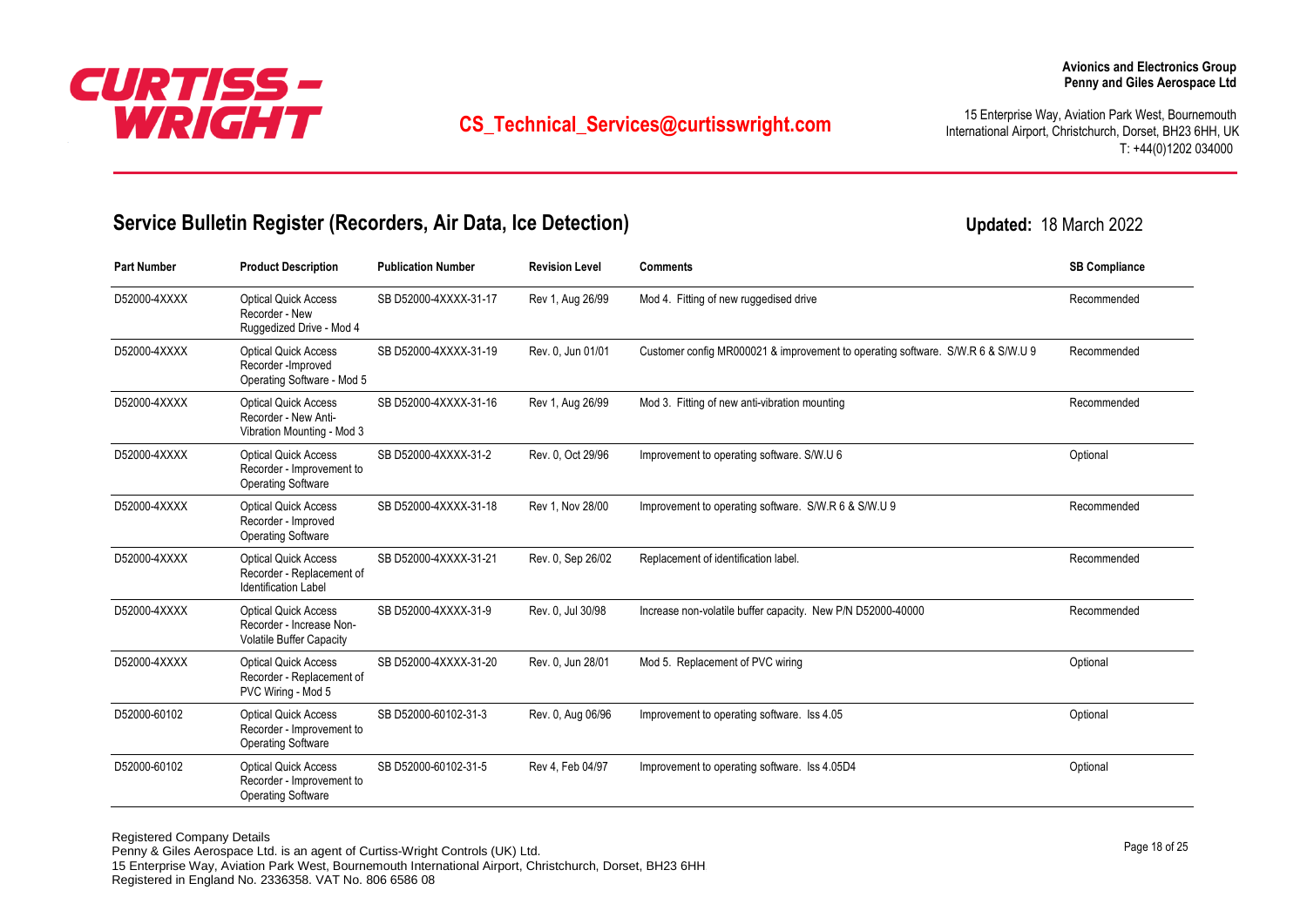

# <sup>15</sup> Enterprise Way, Aviation Park West, Bournemouth **CS**<br> **15 Enterprise Way, Aviation Park West, Bournemouth CS**<br> **16 COS** Technical Services@curtisswright.com

International Airport, Christchurch, Dorset, BH23 6HH, UK T: +44(0)1202 034000

## **Service Bulletin Register (Recorders, Air Data, Ice Detection)**

**Updated:** 18 March 2022

| <b>Part Number</b> | <b>Product Description</b>                                                              | <b>Publication Number</b> | <b>Revision Level</b> | <b>Comments</b>                                                                 | <b>SB Compliance</b> |
|--------------------|-----------------------------------------------------------------------------------------|---------------------------|-----------------------|---------------------------------------------------------------------------------|----------------------|
| D52000-4XXXX       | <b>Optical Quick Access</b><br>Recorder - New<br>Ruggedized Drive - Mod 4               | SB D52000-4XXXX-31-17     | Rev 1, Aug 26/99      | Mod 4. Fitting of new ruggedised drive                                          | Recommended          |
| D52000-4XXXX       | <b>Optical Quick Access</b><br>Recorder-Improved<br>Operating Software - Mod 5          | SB D52000-4XXXX-31-19     | Rev. 0, Jun 01/01     | Customer config MR000021 & improvement to operating software. S/W.R 6 & S/W.U 9 | Recommended          |
| D52000-4XXXX       | <b>Optical Quick Access</b><br>Recorder - New Anti-<br>Vibration Mounting - Mod 3       | SB D52000-4XXXX-31-16     | Rev 1, Aug 26/99      | Mod 3. Fitting of new anti-vibration mounting                                   | Recommended          |
| D52000-4XXXX       | <b>Optical Quick Access</b><br>Recorder - Improvement to<br><b>Operating Software</b>   | SB D52000-4XXXX-31-2      | Rev. 0. Oct 29/96     | Improvement to operating software. S/W.U 6                                      | Optional             |
| D52000-4XXXX       | <b>Optical Quick Access</b><br>Recorder - Improved<br><b>Operating Software</b>         | SB D52000-4XXXX-31-18     | Rev 1. Nov 28/00      | Improvement to operating software. S/W.R 6 & S/W.U 9                            | Recommended          |
| D52000-4XXXX       | <b>Optical Quick Access</b><br>Recorder - Replacement of<br><b>Identification Label</b> | SB D52000-4XXXX-31-21     | Rev. 0, Sep 26/02     | Replacement of identification label.                                            | Recommended          |
| D52000-4XXXX       | <b>Optical Quick Access</b><br>Recorder - Increase Non-<br>Volatile Buffer Capacity     | SB D52000-4XXXX-31-9      | Rev. 0, Jul 30/98     | Increase non-volatile buffer capacity. New P/N D52000-40000                     | Recommended          |
| D52000-4XXXX       | <b>Optical Quick Access</b><br>Recorder - Replacement of<br>PVC Wiring - Mod 5          | SB D52000-4XXXX-31-20     | Rev. 0, Jun 28/01     | Mod 5. Replacement of PVC wiring                                                | Optional             |
| D52000-60102       | <b>Optical Quick Access</b><br>Recorder - Improvement to<br><b>Operating Software</b>   | SB D52000-60102-31-3      | Rev. 0, Aug 06/96     | Improvement to operating software. Iss 4.05                                     | Optional             |
| D52000-60102       | <b>Optical Quick Access</b><br>Recorder - Improvement to<br><b>Operating Software</b>   | SB D52000-60102-31-5      | Rev 4, Feb 04/97      | Improvement to operating software. Iss 4.05D4                                   | Optional             |
|                    |                                                                                         |                           |                       |                                                                                 |                      |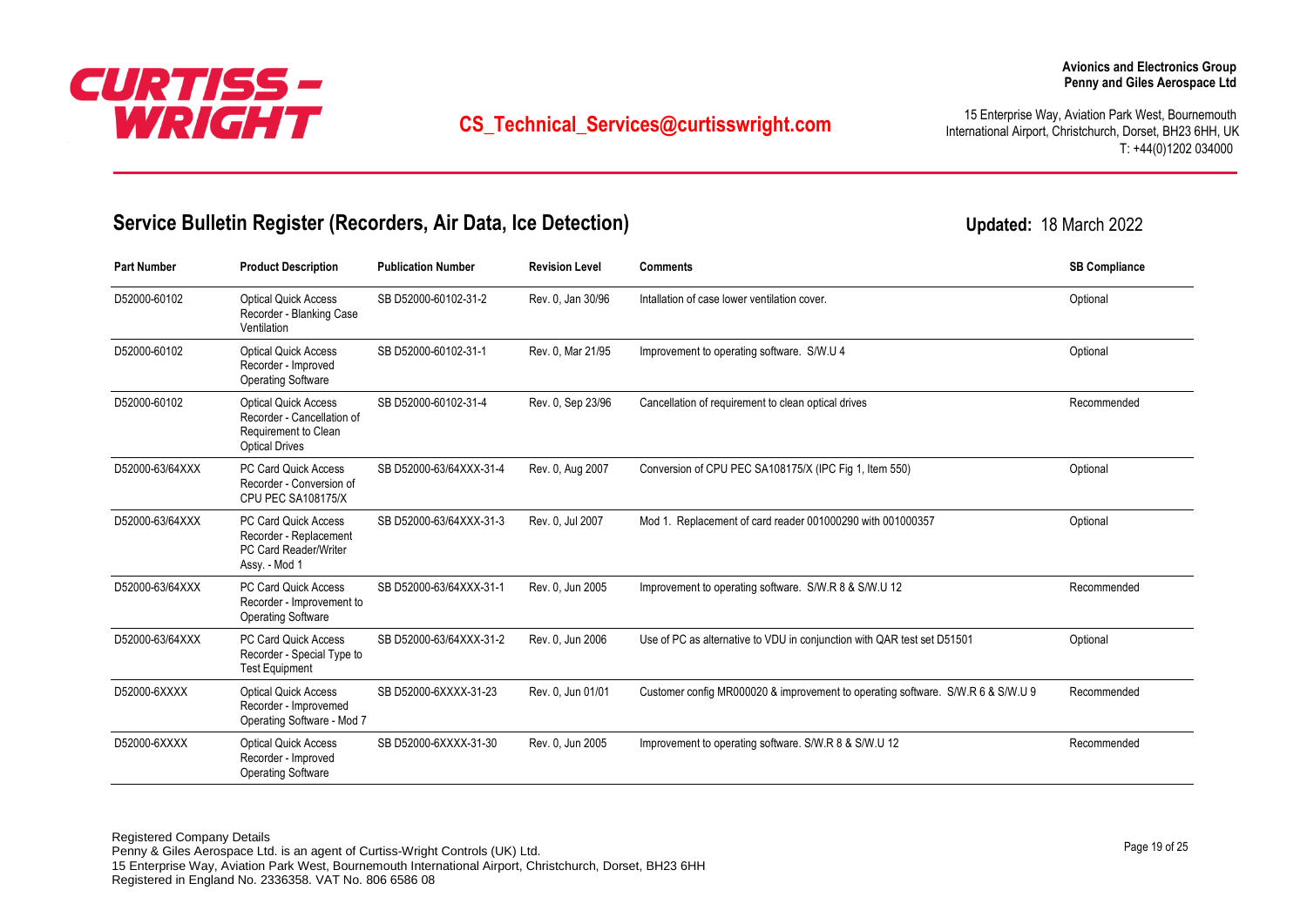

International Airport, Christchurch, Dorset, BH23 6HH, UK T: +44(0)1202 034000

### **Service Bulletin Register (Recorders, Air Data, Ice Detection)**

**Part Number Product Description Publication Number Revision Level Comments SB Compliance** Optical Quick Access SB D52000-60102-31-2 Rev. 0, Jan 30/96 Recorder - Blanking Case Ventilation D52000-60102 Optical Quick Access SB D52000-60102-31-2 Rev. 0, Jan 30/96 Intallation of case lower ventilation cover. Optical Quick Access SB D52000-60102-31-1 Rev. 0, Mar 21/95 Recorder - Improved Operating Software D52000-60102 Optical Quick Access SB D52000-60102-31-1 Rev. 0, Mar 21/95 Improvement to operating software. S/W.U 4 Optional Optical Quick Access SB D52000-60102-31-4 Rev. 0, Sep 23/96 Recorder - Cancellation of Requirement to Clean Optical Drives D52000-60102 D52000-60102 D52000-60102-31-4 Rev. 0, Sep 23/96 Cancellation of requirement to clean optical drives Cancellation of requirement to clean optical drives PC Card Quick Access SB D52000-63/64XXX-31-4 Rev. 0, Aug 2007 Recorder - Conversion of CPU PEC SA108175/X D52000-63/64XXX PC Card Quick Access SB D52000-63/64XXX-31-4 Rev. 0, Aug 2007 Conversion of CPU PEC SA108175/X (IPC Fig 1, Item 550) Optional PC Card Quick Access SB D52000-63/64XXX-31-3 Rev. 0, Jul 2007 Recorder - Replacement PC Card Reader/Writer Assy. - Mod 1 D52000-63/64XXX PC Card Quick Access SB D52000-63/64XXX-31-3 Rev. 0, Jul 2007 Mod 1. Replacement of card reader 001000290 with 001000357 Optional PC Card Quick Access SB D52000-63/64XXX-31-1 Rev. 0, Jun 2005 Recorder - Improvement to Operating Software D52000-63/64XXX PC Card Quick Access SB D52000-63/64XXX-31-1 Rev. 0, Jun 2005 Improvement to operating software. S/W.R 8 & S/W.U 12 Recommended PC Card Quick Access SB D52000-63/64XXX-31-2 Rev. 0, Jun 2006 Recorder - Special Type to Test Equipment D52000-63/64XXX PC Card Quick Access SB D52000-63/64XXX-31-2 Rev. 0, Jun 2006 Use of PC as alternative to VDU in conjunction with QAR test set D51501 Optional Optical Quick Access SB D52000-6XXXX-31-23 Rev. 0, Jun 01/01 Recorder - Improvemed Operating Software - Mod 7 D52000-6XXXX Optical Quick Access SB D52000-6XXXX-31-23 Rev. 0, Jun 01/01 Customer config MR000020 & improvement to operating software. S/W.R 6 & S/W.U 9 Recommended Optical Quick Access SB D52000-6XXXX-31-30 Rev. 0, Jun 2005 Recorder - Improved Operating Software D52000-6XXXX Optical Quick Access SB D52000-6XXXX-31-30 Rev. 0, Jun 2005 Improvement to operating software. S/W.R 8 & S/W.U 12 Recommended

**Updated:** 18 March 2022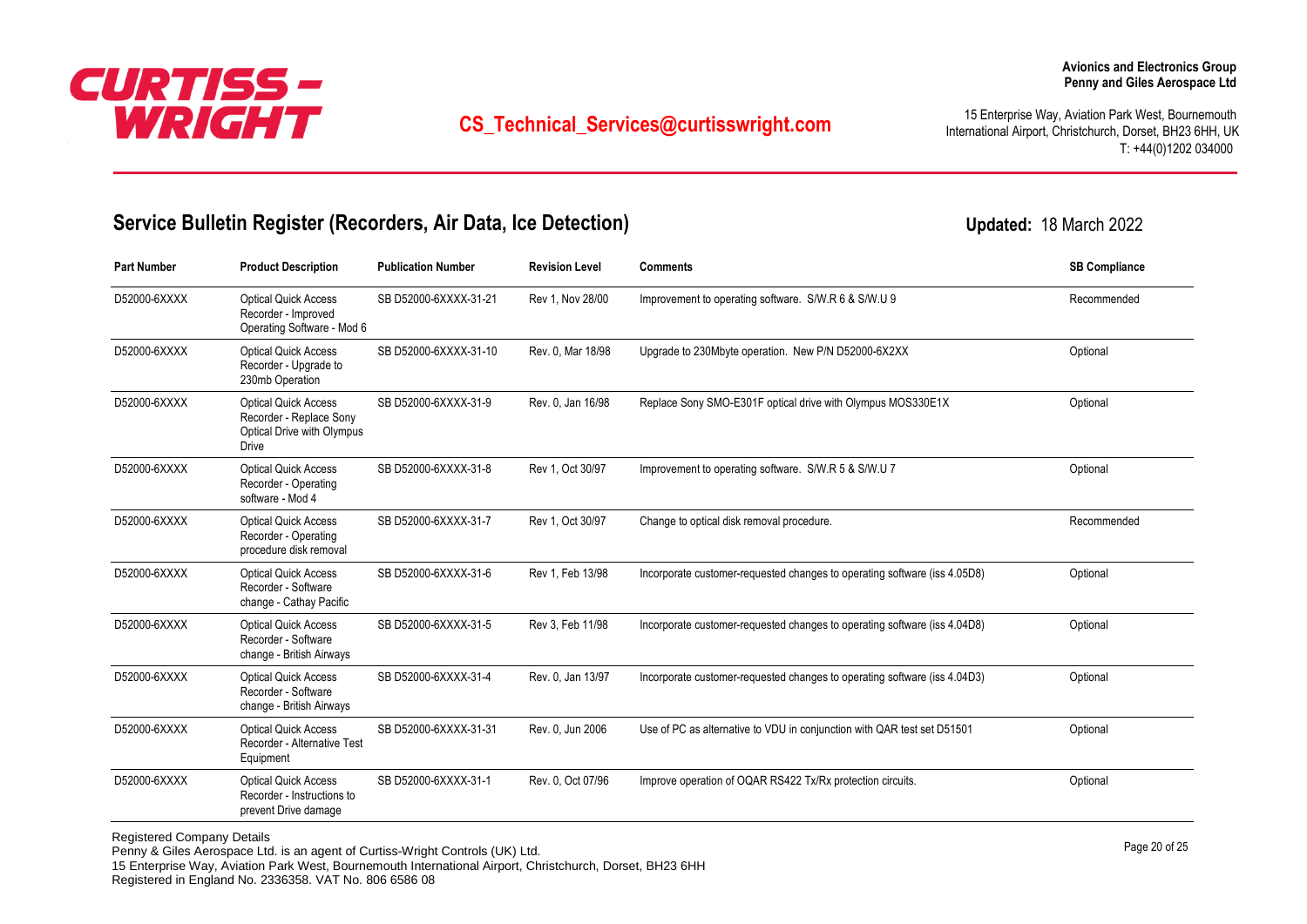

International Airport, Christchurch, Dorset, BH23 6HH, UK T: +44(0)1202 034000

**Updated:** 18 March 2022

## **Service Bulletin Register (Recorders, Air Data, Ice Detection)**

**Part Number Product Description Publication Number Revision Level Comments SB Compliance** Optical Quick Access SB D52000-6XXXX-31-21 Rev 1, Nov 28/00 Recorder - Improved Operating Software - Mod 6 D52000-6XXXX Optical Quick Access SB D52000-6XXXX-31-21 Rev 1. Nov 28/00 Improvement to operating software. S/W.R 6 & S/W.U 9 Recommended Optical Quick Access SB D52000-6XXXX-31-10 Rev. 0, Mar 18/98 Recorder - Upgrade to 230mb Operation D52000-6XXXX Optical Quick Access SB D52000-6XXXX-31-10 Rev. 0, Mar 18/98 Upgrade to 230Mbyte operation. New P/N D52000-6X2XX Optional Optical Quick Access SB D52000-6XXXX-31-9 Rev. 0, Jan 16/98 Recorder - Replace Sony Optical Drive with Olympus Drive D52000-6XXXX Optical Quick Access SB D52000-6XXXX-31-9 Rev. 0, Jan 16/98 Replace Sony SMO-E301F optical drive with Olympus MOS330E1X Optional Optical Quick Access SB D52000-6XXXX-31-8 Rev 1, Oct 30/97 Recorder - Operating software - Mod 4 D52000-6XXXX Optical Quick Access SB D52000-6XXXX-31-8 Rev 1, Oct 30/97 Improvement to operating software. S/W.R 5 & S/W.U 7 Optional Optical Quick Access SB D52000-6XXXX-31-7 Rev 1, Oct 30/97 Recorder - Operating procedure disk removal D52000-6XXXX Optical Quick Access SB D52000-6XXXX-31-7 Rev 1, Oct 30/97 Change to optical disk removal procedure. Optical Quick Access SB D52000-6XXXX-31-6 Rev 1, Feb 13/98 Recorder - Software change - Cathay Pacific D52000-6XXXX Optical Quick Access SB D52000-6XXXX-31-6 Rev 1, Feb 13/98 Incorporate customer-requested changes to operating software (iss 4.05D8) Optional Optical Quick Access SB D52000-6XXXX-31-5 Rev 3, Feb 11/98 Recorder - Software change - British Airways D52000-6XXXX Optical Quick Access SB D52000-6XXXX-31-5 Rev 3, Feb 11/98 Incorporate customer-requested changes to operating software (iss 4.04D8) Optional Optical Quick Access SB D52000-6XXXX-31-4 Rev. 0, Jan 13/97 Recorder - Software change - British Airways D52000-6XXXX Optical Quick Access SB D52000-6XXXX-31-4 Rev. 0, Jan 13/97 Incorporate customer-requested changes to operating software (iss 4.04D3) Optional Optical Quick Access SB D52000-6XXXX-31-31 Rev. 0, Jun 2006 Recorder - Alternative Test **Equipment** D52000-6XXXX Optical Quick Access SB D52000-6XXXX-31-31 Rev. 0. Jun 2006 Use of PC as alternative to VDU in conjunction with QAR test set D51501 Optional Optical Quick Access SB D52000-6XXXX-31-1 Rev. 0, Oct 07/96 Recorder - Instructions to prevent Drive damage D52000-6XXXX Optical Quick Access SB D52000-6XXXX-31-1 Rev. 0, Oct 07/96 Improve operation of OQAR RS422 Tx/Rx protection circuits. Optional

Registered Company Details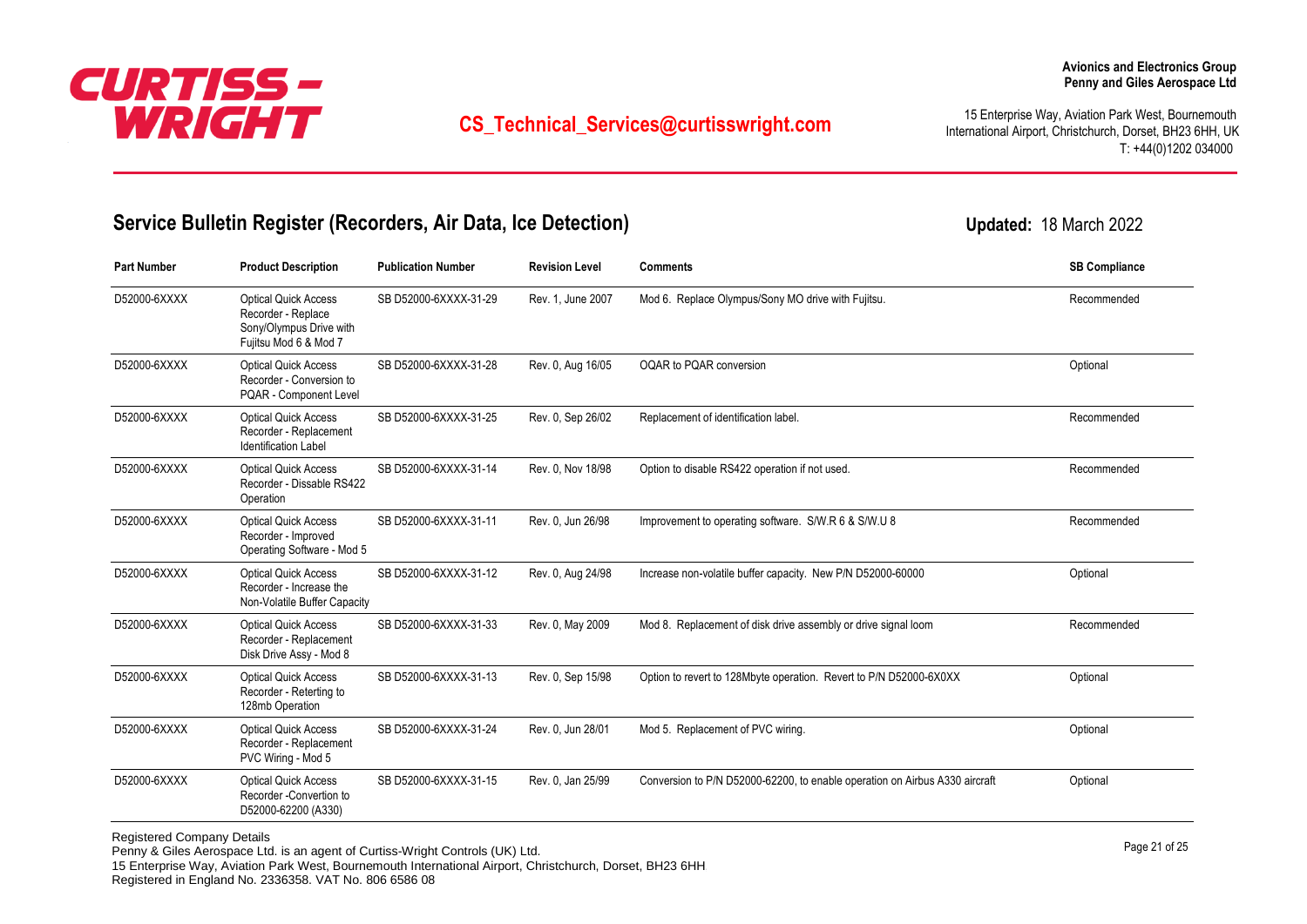

International Airport, Christchurch, Dorset, BH23 6HH, UK T: +44(0)1202 034000

**Updated:** 18 March 2022

## **Service Bulletin Register (Recorders, Air Data, Ice Detection)**

**Part Number Product Description Publication Number Revision Level Comments SB Compliance** Optical Quick Access SB D52000-6XXXX-31-29 Rev. 1, June 2007 Recorder - Replace Sony/Olympus Drive with Fujitsu Mod 6 & Mod 7 D52000-6XXXX Optical Quick Access SB D52000-6XXXX-31-29 Rev. 1, June 2007 Mod 6. Replace Olympus/Sony MO drive with Fujitsu. Optical Quick Access SB D52000-6XXXX-31-28 Rev. 0, Aug 16/05 Recorder - Conversion to PQAR - Component Level D52000-6XXXX Optical Quick Access SB D52000-6XXXX-31-28 Rev. 0, Aug 16/05 OQAR to PQAR conversion Optional Optical Quick Access SB D52000-6XXXX-31-25 Rev. 0, Sep 26/02 Recorder - Replacement Identification Label D52000-6XXXX Optical Quick Access SB D52000-6XXXX-31-25 Rev. 0. Sep 26/02 Replacement of identification label. Optical Quick Access SB D52000-6XXXX-31-14 Rev. 0, Nov 18/98 Recorder - Dissable RS422 **Operation** D52000-6XXXX Optical Quick Access SB D52000-6XXXX-31-14 Rev. 0, Nov 18/98 Option to disable RS422 operation if not used. Recommended Optical Quick Access SB D52000-6XXXX-31-11 Rev. 0, Jun 26/98 Recorder - Improved Operating Software - Mod 5 D52000-6XXXX Optical Quick Access SB D52000-6XXXX-31-11 Rev. 0, Jun 26/98 Improvement to operating software. S/W.R 6 & S/W.U 8 Recommended Optical Quick Access SB D52000-6XXXX-31-12 Rev. 0, Aug 24/98 Recorder - Increase the Non-Volatile Buffer Capacity D52000-6XXXX Optical Quick Access SB D52000-6XXXX-31-12 Rev. 0, Aug 24/98 Increase non-volatile buffer capacity. New P/N D52000-60000 Optional Optical Quick Access SB D52000-6XXXX-31-33 Rev. 0, May 2009 Recorder - Replacement Disk Drive Assy - Mod 8 D52000-6XXXX Optical Quick Access SB D52000-6XXXX-31-33 Rev. 0, May 2009 Mod 8. Replacement of disk drive assembly or drive signal loom Recommended Optical Quick Access SB D52000-6XXXX-31-13 Rev. 0, Sep 15/98 Recorder - Reterting to 128mb Operation D52000-6XXXX Optical Quick Access SB D52000-6XXXX-31-13 Rev. 0, Sep 15/98 Option to revert to 128Mbyte operation. Revert to P/N D52000-6X0XX Optional Optical Quick Access SB D52000-6XXXX-31-24 Rev. 0, Jun 28/01 Recorder - Replacement PVC Wiring - Mod 5 D52000-6XXXX Optical Quick Access SB D52000-6XXXX-31-24 Rev. 0. Jun 28/01 Mod 5. Replacement of PVC wiring. Content Access Optional Optical Quick Access SB D52000-6XXXX-31-15 Rev. 0, Jan 25/99 Recorder -Convertion to D52000-62200 (A330) D52000-6XXXX Optical Quick Access SB D52000-6XXXX-31-15 Rev. 0, Jan 25/99 Conversion to P/N D52000-62200, to enable operation on Airbus A330 aircraft Contional

Registered Company Details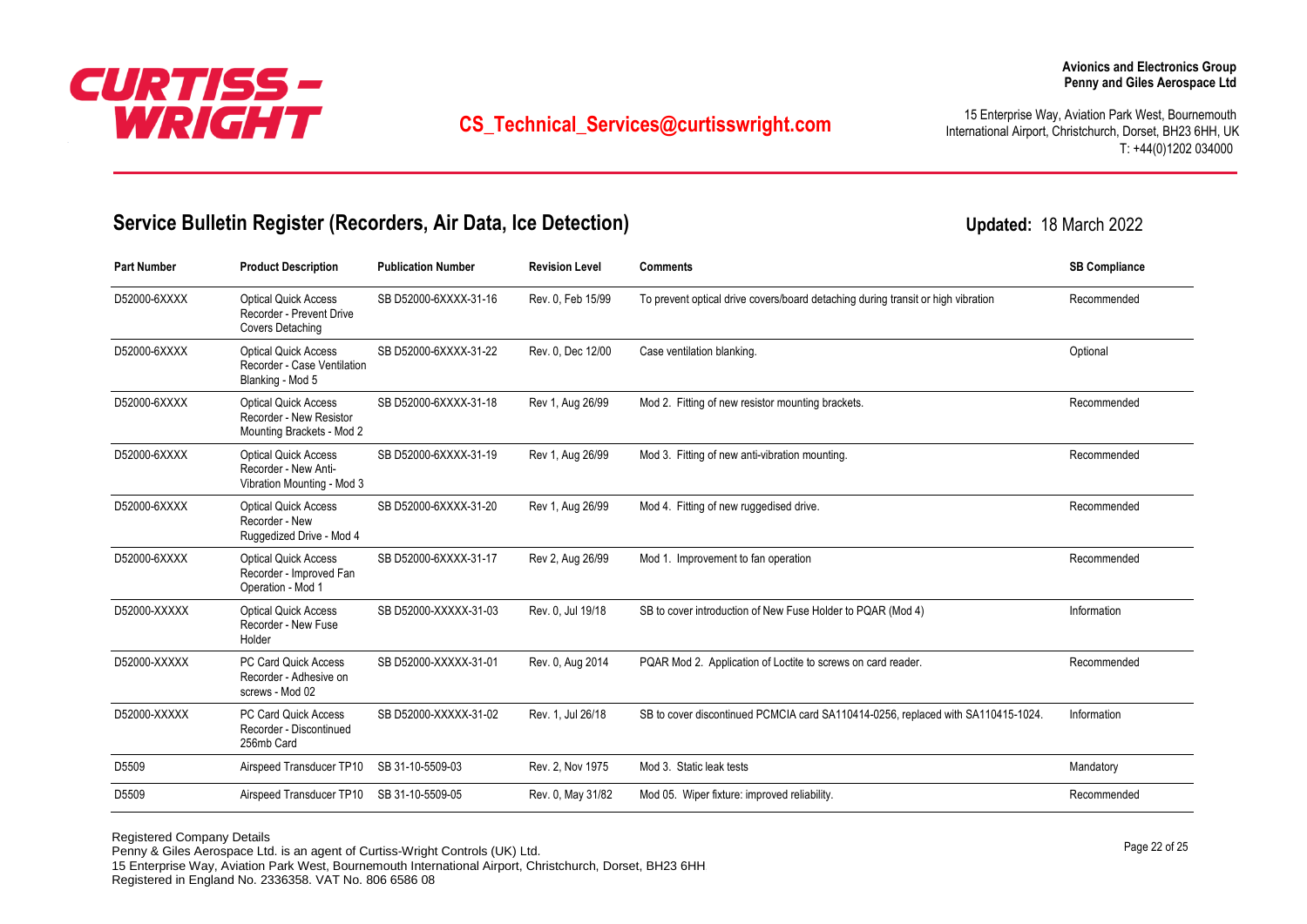

International Airport, Christchurch, Dorset, BH23 6HH, UK T: +44(0)1202 034000

**Updated:** 18 March 2022

### **Service Bulletin Register (Recorders, Air Data, Ice Detection)**

**Part Number Product Description Publication Number Revision Level Comments SB Compliance** Optical Quick Access SB D52000-6XXXX-31-16 Rev. 0, Feb 15/99 Recorder - Prevent Drive Covers Detaching D52000-6XXXX Optical Quick Access SB D52000-6XXXX-31-16 Rev. 0, Feb 15/99 To prevent optical drive covers/board detaching during transit or high vibration Recommended Optical Quick Access SB D52000-6XXXX-31-22 Rev. 0, Dec 12/00 Recorder - Case Ventilation Blanking - Mod 5 D52000-6XXXX Optical Quick Access SB D52000-6XXXX-31-22 Rev. 0, Dec 12/00 Case ventilation blanking. Case ventilation blanking. Optical Quick Access SB D52000-6XXXX-31-18 Rev 1, Aug 26/99 Recorder - New Resistor Mounting Brackets - Mod 2 D52000-6XXXX Optical Quick Access SB D52000-6XXXX-31-18 Rev 1, Aug 26/99 Mod 2. Fitting of new resistor mounting brackets. Optical Quick Access SB D52000-6XXXX-31-19 Rev 1, Aug 26/99 Recorder - New Anti-Vibration Mounting - Mod 3 D52000-6XXXX Optical Quick Access SB D52000-6XXXX-31-19 Rev 1, Aug 26/99 Mod 3. Fitting of new anti-vibration mounting. Optical Quick Access SB D52000-6XXXX-31-20 Rev 1, Aug 26/99 Recorder - New Ruggedized Drive - Mod 4 D52000-6XXXX Optical Quick Access SB D52000-6XXXX-31-20 Rev 1. Aug 26/99 Mod 4. Fitting of new ruggedised drive. Optical Quick Access SB D52000-6XXXX-31-17 Rev 2, Aug 26/99 Recorder - Improved Fan Operation - Mod 1 D52000-6XXXX Optical Quick Access SB D52000-6XXXX-31-17 Rev 2, Aug 26/99 Mod 1. Improvement to fan operation Channel Accommended Optical Quick Access SB D52000-XXXXX-31-03 Rev. 0, Jul 19/18 Recorder - New Fuse Holder D52000-XXXXX Optical Quick Access SB D52000-XXXXX-31-03 Rev. 0, Jul 19/18 SB to cover introduction of New Fuse Holder to PQAR (Mod 4) Information PC Card Quick Access SB D52000-XXXXX-31-01 Rev. 0, Aug 2014 Recorder - Adhesive on screws - Mod 02 D52000-XXXXX PC Card Quick Access SB D52000-XXXXX-31-01 Rev. 0, Aug 2014 PQAR Mod 2. Application of Loctite to screws on card reader. Recommended PC Card Quick Access SB D52000-XXXXX-31-02 Rev. 1, Jul 26/18 Recorder - Discontinued 256mb Card D52000-XXXXX PC Card Quick Access SB D52000-XXXXX-31-02 Rev. 1, Jul 26/18 SB to cover discontinued PCMCIA card SA110414-0256, replaced with SA110415-1024. Information D5509 **Airspeed Transducer TP10** SB 31-10-5509-03 Rev. 2, Nov 1975 Mod 3. Static leak tests Mandatory Mandatory D5509 Airspeed Transducer TP10 SB 31-10-5509-05 Rev. 0, May 31/82 Mod 05. Wiper fixture: improved reliability. Recommended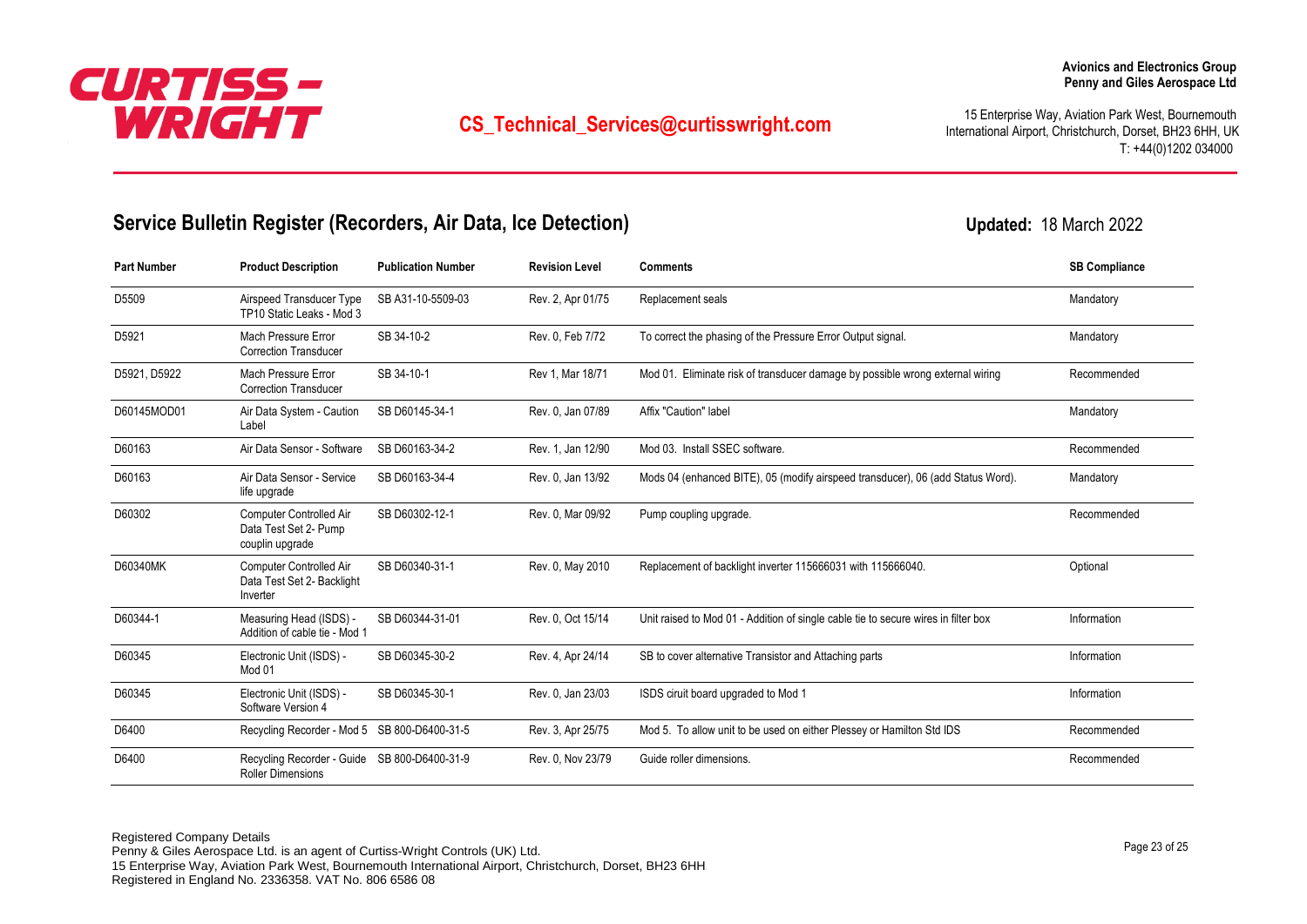

# <sup>15</sup> Enterprise Way, Aviation Park West, Bournemouth **CS**<br> **15 Enterprise Way, Aviation Park West, Bournemouth CS**<br> **16 COS** Technical Services@curtisswright.com

International Airport, Christchurch, Dorset, BH23 6HH, UK T: +44(0)1202 034000

## **Service Bulletin Register (Recorders, Air Data, Ice Detection)**

**Updated:** 18 March 2022

| <b>Part Number</b> | <b>Product Description</b>                                                 | <b>Publication Number</b> | <b>Revision Level</b> | <b>Comments</b>                                                                    | <b>SB Compliance</b> |
|--------------------|----------------------------------------------------------------------------|---------------------------|-----------------------|------------------------------------------------------------------------------------|----------------------|
| D5509              | Airspeed Transducer Type<br>TP10 Static Leaks - Mod 3                      | SB A31-10-5509-03         | Rev. 2, Apr 01/75     | Replacement seals                                                                  | Mandatory            |
| D5921              | Mach Pressure Error<br><b>Correction Transducer</b>                        | SB 34-10-2                | Rev. 0, Feb 7/72      | To correct the phasing of the Pressure Error Output signal.                        | Mandatory            |
| D5921, D5922       | Mach Pressure Error<br><b>Correction Transducer</b>                        | SB 34-10-1                | Rev 1. Mar 18/71      | Mod 01. Eliminate risk of transducer damage by possible wrong external wiring      | Recommended          |
| D60145MOD01        | Air Data System - Caution<br>Label                                         | SB D60145-34-1            | Rev. 0. Jan 07/89     | Affix "Caution" label                                                              | Mandatory            |
| D60163             | Air Data Sensor - Software                                                 | SB D60163-34-2            | Rev. 1, Jan 12/90     | Mod 03. Install SSEC software.                                                     | Recommended          |
| D60163             | Air Data Sensor - Service<br>life upgrade                                  | SB D60163-34-4            | Rev. 0, Jan 13/92     | Mods 04 (enhanced BITE), 05 (modify airspeed transducer), 06 (add Status Word).    | Mandatory            |
| D60302             | <b>Computer Controlled Air</b><br>Data Test Set 2- Pump<br>couplin upgrade | SB D60302-12-1            | Rev. 0. Mar 09/92     | Pump coupling upgrade.                                                             | Recommended          |
| D60340MK           | <b>Computer Controlled Air</b><br>Data Test Set 2- Backlight<br>Inverter   | SB D60340-31-1            | Rev. 0, May 2010      | Replacement of backlight inverter 115666031 with 115666040.                        | Optional             |
| D60344-1           | Measuring Head (ISDS) -<br>Addition of cable tie - Mod 1                   | SB D60344-31-01           | Rev. 0, Oct 15/14     | Unit raised to Mod 01 - Addition of single cable tie to secure wires in filter box | Information          |
| D60345             | Electronic Unit (ISDS) -<br>Mod 01                                         | SB D60345-30-2            | Rev. 4, Apr 24/14     | SB to cover alternative Transistor and Attaching parts                             | Information          |
| D60345             | Electronic Unit (ISDS) -<br>Software Version 4                             | SB D60345-30-1            | Rev. 0, Jan 23/03     | ISDS ciruit board upgraded to Mod 1                                                | Information          |
| D6400              | Recycling Recorder - Mod 5 SB 800-D6400-31-5                               |                           | Rev. 3, Apr 25/75     | Mod 5. To allow unit to be used on either Plessey or Hamilton Std IDS              | Recommended          |
| D6400              | Recycling Recorder - Guide SB 800-D6400-31-9<br><b>Roller Dimensions</b>   |                           | Rev. 0. Nov 23/79     | Guide roller dimensions.                                                           | Recommended          |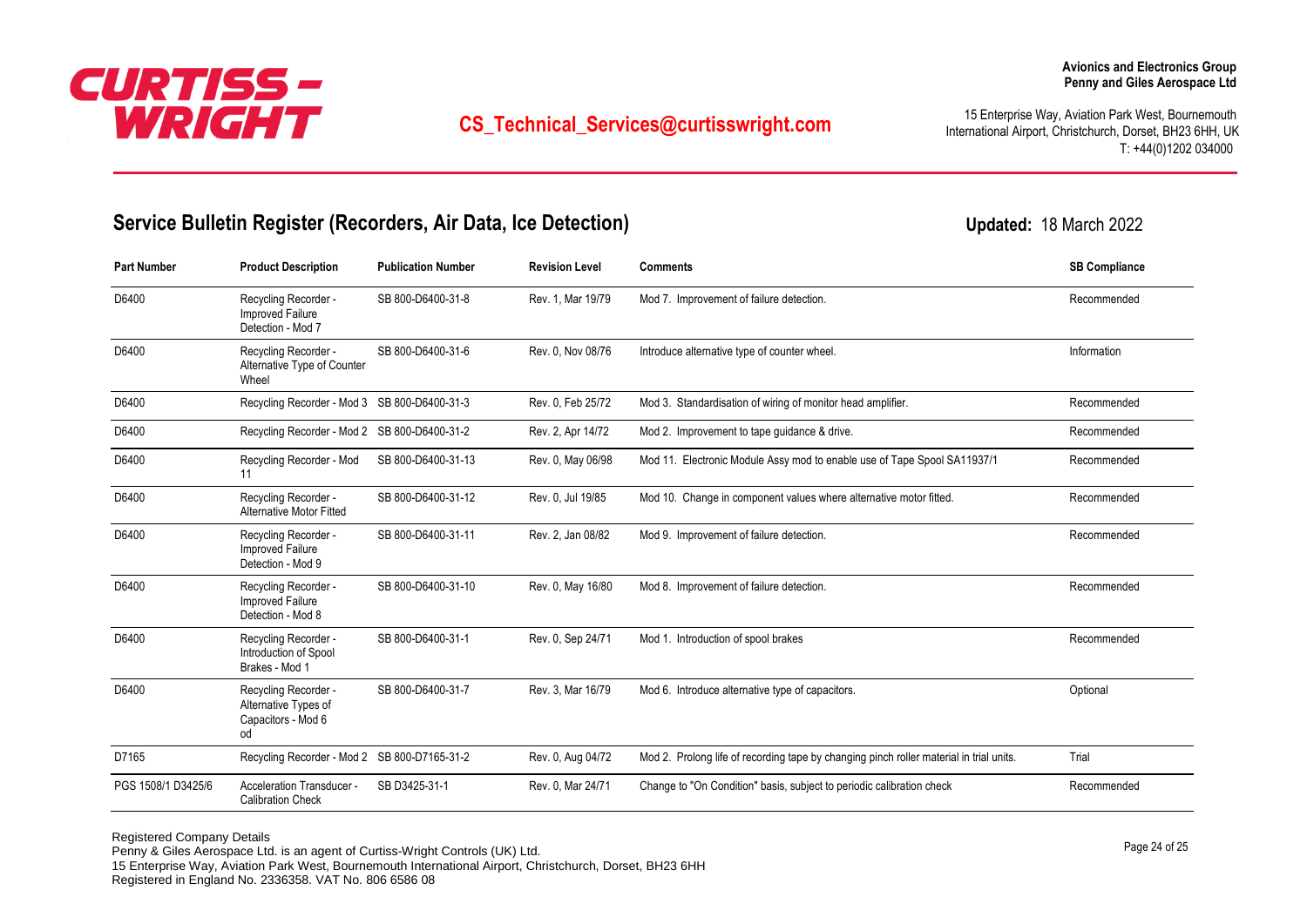

International Airport, Christchurch, Dorset, BH23 6HH, UK T: +44(0)1202 034000

**Updated:** 18 March 2022

## **Service Bulletin Register (Recorders, Air Data, Ice Detection)**

**Part Number Product Description Publication Number Revision Level Comments SB Compliance** Recycling Recorder - SB 800-D6400-31-8 Rev. 1, Mar 19/79 Improved Failure Detection - Mod 7 D6400 Recycling Recorder - SB 800-D6400-31-8 Rev. 1, Mar 19/79 Mod 7. Improvement of failure detection. Recycling Recorder - SB 800-D6400-31-6 Rev. 0, Nov 08/76 Alternative Type of Counter Wheel D6400 Recycling Recorder - SB 800-D6400-31-6 Rev. 0, Nov 08/76 Introduce alternative type of counter wheel. D6400 Recycling Recorder - Mod 3 SB 800-D6400-31-3 Rev. 0, Feb 25/72 Mod 3. Standardisation of wiring of monitor head amplifier. D6400 Recycling Recorder - Mod 2 SB 800-D6400-31-2 Rev. 2, Apr 14/72 Mod 2. Improvement to tape guidance & drive. Recycling Recorder - Mod SB 800-D6400-31-13 Rev. 0, May 06/98 11 D6400 Moder the Spool of the Corder - Moder that CB 800-D6400-31-13 Rev. 0, May 06/98 Mod 11. Electronic Module Assy mod to enable use of Tape Spool SA11937/1 Recommended Recycling Recorder - SB 800-D6400-31-12 Rev. 0, Jul 19/85 Alternative Motor Fitted D6400 Modern Secording Recorder - Subsection Secording Second Deck 0. Duit 19/85 Mod 10. Change in component values where alternative motor fitted. Recycling Recorder - SB 800-D6400-31-11 Rev. 2, Jan 08/82 Improved Failure Detection - Mod 9 D6400 Recycling Recorder - SB 800-D6400-31-11 Rev. 2, Jan 08/82 Mod 9. Improvement of failure detection. Recycling Recorder - SB 800-D6400-31-10 Rev. 0, May 16/80 Improved Failure Detection - Mod 8 D6400 Recycling Recorder - SB 800-D6400-31-10 Rev. 0, May 16/80 Mod 8. Improvement of failure detection. Recycling Recorder - SB 800-D6400-31-1 Rev. 0, Sep 24/71 Introduction of Spool Brakes - Mod 1 D6400 Recycling Recorder - SB 800-D6400-31-1 Rev. 0, Sep 24/71 Mod 1. Introduction of spool brakes Recorder Assessmended Recycling Recorder - SB 800-D6400-31-7 Rev. 3, Mar 16/79 Alternative Types of Capacitors - Mod 6 od D6400 Modern Share of Capacitors Continue alternative type of capacitors. D6400 Modernative type of capacitors. D7165 Recycling Recorder - Mod 2 SB 800-D7165-31-2 Rev. 0, Aug 04/72 Mod 2. Prolong life of recording tape by changing pinch roller material in trial units. Trial Acceleration Transducer - SB D3425-31-1 Rev. 0, Mar 24/71 Calibration Check PGS 1508/1 D3425/6 Acceleration Transducer - SB D3425-31-1 Rev. 0, Mar 24/71 Change to "On Condition" basis, subject to periodic calibration check Recommended